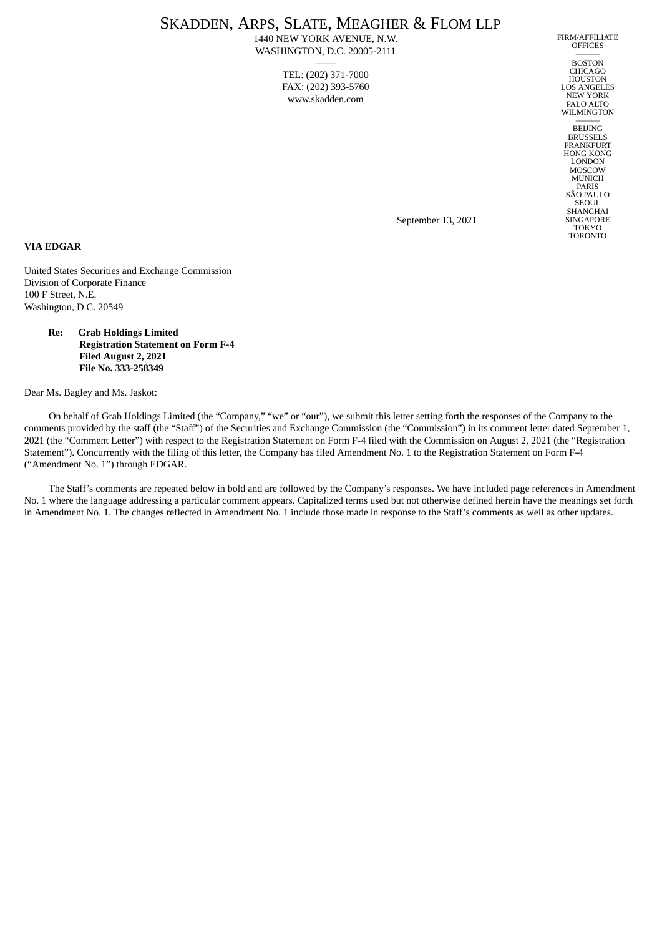# SKADDEN, ARPS, SLATE, MEAGHER & FLOM LLP

1440 NEW YORK AVENUE, N.W. WASHINGTON, D.C. 20005-2111

—— TEL: (202) 371-7000 FAX: (202) 393-5760 www.skadden.com

FIRM/AFFILIATE **OFFICES** ———

BOSTON CHICAGO HOUSTON LOS ANGELES NEW YORK PALO ALTO WILMINGTON

——— BEIJING BRUSSELS FRANKFURT HONG KONG LONDON **MOSCOW** MUNICH PARIS SÃO PAULO SEOUL **SHANGHAI** SINGAPORE TOKYO TORONTO

September 13, 2021

## **VIA EDGAR**

United States Securities and Exchange Commission Division of Corporate Finance 100 F Street, N.E. Washington, D.C. 20549

## **Re: Grab Holdings Limited Registration Statement on Form F-4 Filed August 2, 2021 File No. 333-258349**

Dear Ms. Bagley and Ms. Jaskot:

On behalf of Grab Holdings Limited (the "Company," "we" or "our"), we submit this letter setting forth the responses of the Company to the comments provided by the staff (the "Staff") of the Securities and Exchange Commission (the "Commission") in its comment letter dated September 1, 2021 (the "Comment Letter") with respect to the Registration Statement on Form F-4 filed with the Commission on August 2, 2021 (the "Registration Statement"). Concurrently with the filing of this letter, the Company has filed Amendment No. 1 to the Registration Statement on Form F-4 ("Amendment No. 1") through EDGAR.

The Staff's comments are repeated below in bold and are followed by the Company's responses. We have included page references in Amendment No. 1 where the language addressing a particular comment appears. Capitalized terms used but not otherwise defined herein have the meanings set forth in Amendment No. 1. The changes reflected in Amendment No. 1 include those made in response to the Staff's comments as well as other updates.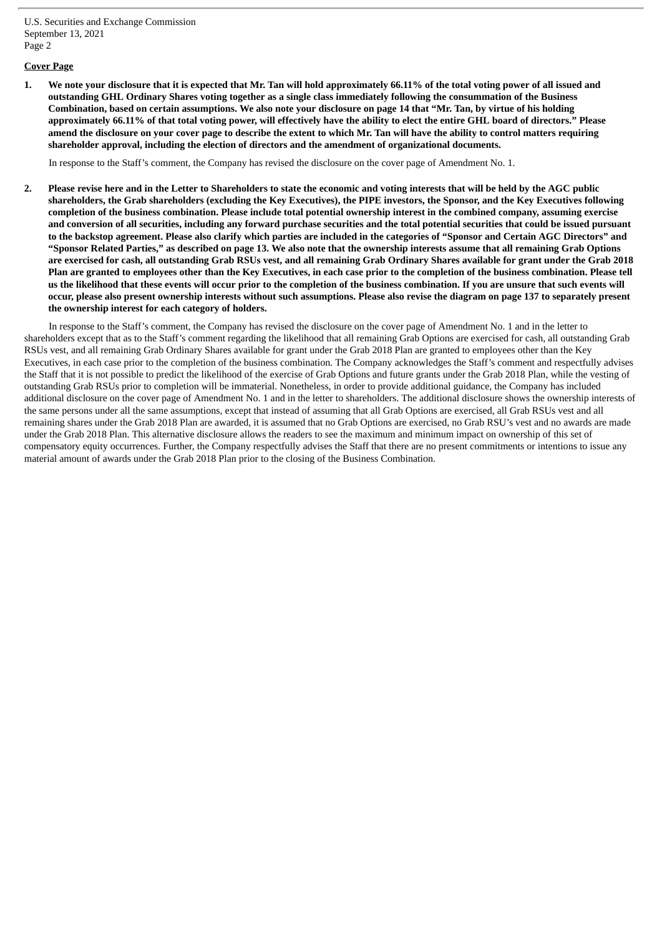## **Cover Page**

1. We note your disclosure that it is expected that Mr. Tan will hold approximately 66.11% of the total voting power of all issued and outstanding GHL Ordinary Shares voting together as a single class immediately following the consummation of the Business Combination, based on certain assumptions. We also note your disclosure on page 14 that "Mr. Tan, by virtue of his holding approximately 66.11% of that total voting power, will effectively have the ability to elect the entire GHL board of directors." Please amend the disclosure on your cover page to describe the extent to which Mr. Tan will have the ability to control matters requiring **shareholder approval, including the election of directors and the amendment of organizational documents.**

In response to the Staff's comment, the Company has revised the disclosure on the cover page of Amendment No. 1.

2. Please revise here and in the Letter to Shareholders to state the economic and voting interests that will be held by the AGC public shareholders, the Grab shareholders (excluding the Key Executives), the PIPE investors, the Sponsor, and the Key Executives following completion of the business combination. Please include total potential ownership interest in the combined company, assuming exercise and conversion of all securities, including any forward purchase securities and the total potential securities that could be issued pursuant to the backstop agreement. Please also clarify which parties are included in the categories of "Sponsor and Certain AGC Directors" and "Sponsor Related Parties," as described on page 13. We also note that the ownership interests assume that all remaining Grab Options are exercised for cash, all outstanding Grab RSUs vest, and all remaining Grab Ordinary Shares available for grant under the Grab 2018 Plan are granted to employees other than the Key Executives, in each case prior to the completion of the business combination. Please tell us the likelihood that these events will occur prior to the completion of the business combination. If you are unsure that such events will occur, please also present ownership interests without such assumptions. Please also revise the diagram on page 137 to separately present **the ownership interest for each category of holders.**

In response to the Staff's comment, the Company has revised the disclosure on the cover page of Amendment No. 1 and in the letter to shareholders except that as to the Staff's comment regarding the likelihood that all remaining Grab Options are exercised for cash, all outstanding Grab RSUs vest, and all remaining Grab Ordinary Shares available for grant under the Grab 2018 Plan are granted to employees other than the Key Executives, in each case prior to the completion of the business combination. The Company acknowledges the Staff's comment and respectfully advises the Staff that it is not possible to predict the likelihood of the exercise of Grab Options and future grants under the Grab 2018 Plan, while the vesting of outstanding Grab RSUs prior to completion will be immaterial. Nonetheless, in order to provide additional guidance, the Company has included additional disclosure on the cover page of Amendment No. 1 and in the letter to shareholders. The additional disclosure shows the ownership interests of the same persons under all the same assumptions, except that instead of assuming that all Grab Options are exercised, all Grab RSUs vest and all remaining shares under the Grab 2018 Plan are awarded, it is assumed that no Grab Options are exercised, no Grab RSU's vest and no awards are made under the Grab 2018 Plan. This alternative disclosure allows the readers to see the maximum and minimum impact on ownership of this set of compensatory equity occurrences. Further, the Company respectfully advises the Staff that there are no present commitments or intentions to issue any material amount of awards under the Grab 2018 Plan prior to the closing of the Business Combination.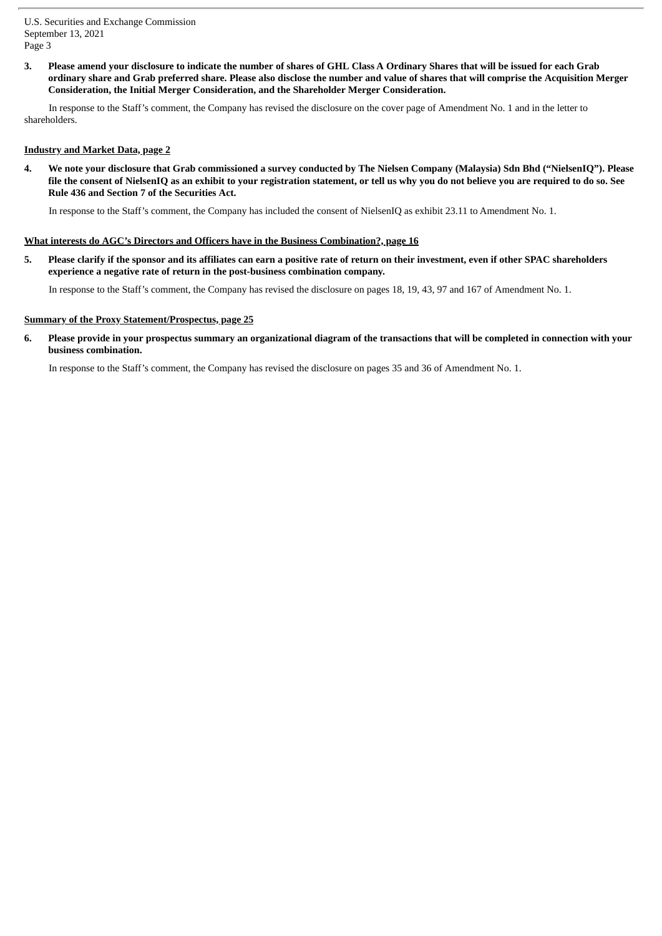3. Please amend your disclosure to indicate the number of shares of GHL Class A Ordinary Shares that will be issued for each Grab ordinary share and Grab preferred share. Please also disclose the number and value of shares that will comprise the Acquisition Merger **Consideration, the Initial Merger Consideration, and the Shareholder Merger Consideration.**

In response to the Staff's comment, the Company has revised the disclosure on the cover page of Amendment No. 1 and in the letter to shareholders.

## **Industry and Market Data, page 2**

4. We note your disclosure that Grab commissioned a survey conducted by The Nielsen Company (Malaysia) Sdn Bhd ("NielsenIQ"). Please file the consent of NielsenIQ as an exhibit to your registration statement, or tell us why you do not believe you are required to do so. See **Rule 436 and Section 7 of the Securities Act.**

In response to the Staff's comment, the Company has included the consent of NielsenIQ as exhibit 23.11 to Amendment No. 1.

#### **What interests do AGC's Directors and Officers have in the Business Combination?, page 16**

5. Please clarify if the sponsor and its affiliates can earn a positive rate of return on their investment, even if other SPAC shareholders **experience a negative rate of return in the post-business combination company.**

In response to the Staff's comment, the Company has revised the disclosure on pages 18, 19, 43, 97 and 167 of Amendment No. 1.

#### **Summary of the Proxy Statement/Prospectus, page 25**

6. Please provide in your prospectus summary an organizational diagram of the transactions that will be completed in connection with your **business combination.**

In response to the Staff's comment, the Company has revised the disclosure on pages 35 and 36 of Amendment No. 1.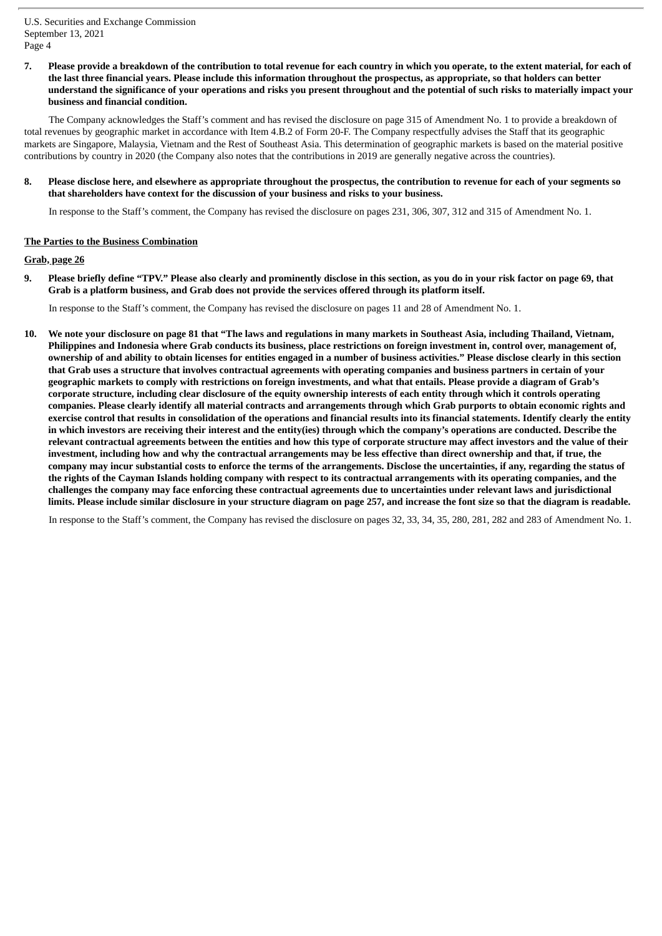7. Please provide a breakdown of the contribution to total revenue for each country in which you operate, to the extent material, for each of the last three financial years. Please include this information throughout the prospectus, as appropriate, so that holders can better understand the significance of your operations and risks you present throughout and the potential of such risks to materially impact your **business and financial condition.**

The Company acknowledges the Staff's comment and has revised the disclosure on page 315 of Amendment No. 1 to provide a breakdown of total revenues by geographic market in accordance with Item 4.B.2 of Form 20-F. The Company respectfully advises the Staff that its geographic markets are Singapore, Malaysia, Vietnam and the Rest of Southeast Asia. This determination of geographic markets is based on the material positive contributions by country in 2020 (the Company also notes that the contributions in 2019 are generally negative across the countries).

#### 8. Please disclose here, and elsewhere as appropriate throughout the prospectus, the contribution to revenue for each of your segments so **that shareholders have context for the discussion of your business and risks to your business.**

In response to the Staff's comment, the Company has revised the disclosure on pages 231, 306, 307, 312 and 315 of Amendment No. 1.

## **The Parties to the Business Combination**

#### **Grab, page 26**

9. Please briefly define "TPV." Please also clearly and prominently disclose in this section, as you do in your risk factor on page 69, that **Grab is a platform business, and Grab does not provide the services offered through its platform itself.**

In response to the Staff's comment, the Company has revised the disclosure on pages 11 and 28 of Amendment No. 1.

10. We note your disclosure on page 81 that "The laws and regulations in many markets in Southeast Asia, including Thailand, Vietnam, Philippines and Indonesia where Grab conducts its business, place restrictions on foreign investment in, control over, management of, ownership of and ability to obtain licenses for entities engaged in a number of business activities." Please disclose clearly in this section that Grab uses a structure that involves contractual agreements with operating companies and business partners in certain of your geographic markets to comply with restrictions on foreign investments, and what that entails. Please provide a diagram of Grab's corporate structure, including clear disclosure of the equity ownership interests of each entity through which it controls operating companies. Please clearly identify all material contracts and arrangements through which Grab purports to obtain economic rights and exercise control that results in consolidation of the operations and financial results into its financial statements. Identify clearly the entity in which investors are receiving their interest and the entity(ies) through which the company's operations are conducted. Describe the relevant contractual agreements between the entities and how this type of corporate structure may affect investors and the value of their investment, including how and why the contractual arrangements may be less effective than direct ownership and that, if true, the company may incur substantial costs to enforce the terms of the arrangements. Disclose the uncertainties, if any, regarding the status of the rights of the Cayman Islands holding company with respect to its contractual arrangements with its operating companies, and the challenges the company may face enforcing these contractual agreements due to uncertainties under relevant laws and jurisdictional limits. Please include similar disclosure in your structure diagram on page 257, and increase the font size so that the diagram is readable.

In response to the Staff's comment, the Company has revised the disclosure on pages 32, 33, 34, 35, 280, 281, 282 and 283 of Amendment No. 1.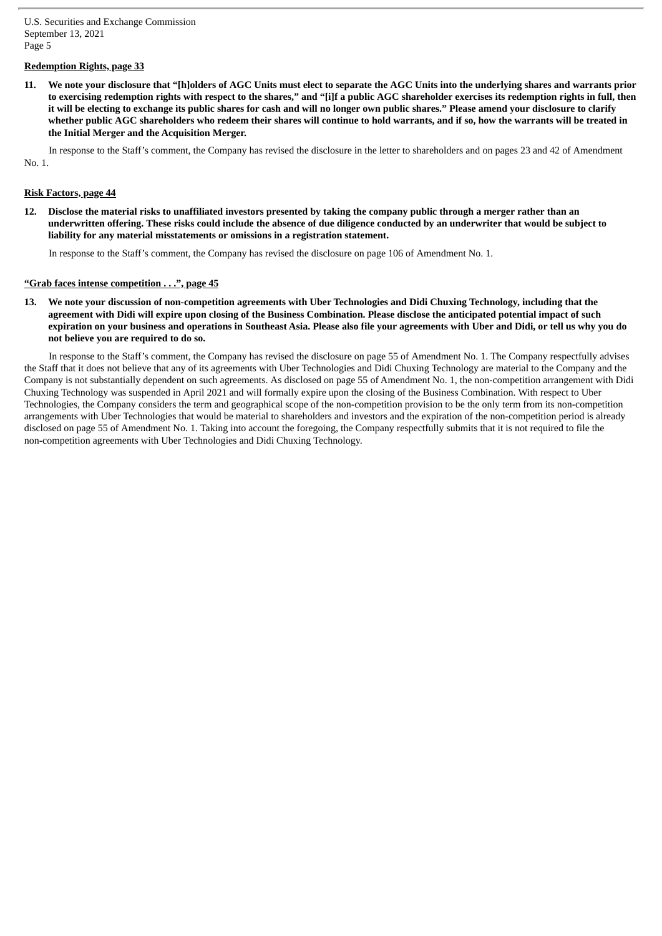## **Redemption Rights, page 33**

11. We note vour disclosure that "[h]olders of AGC Units must elect to separate the AGC Units into the underlying shares and warrants prior to exercising redemption rights with respect to the shares," and "[i]f a public AGC shareholder exercises its redemption rights in full, then it will be electing to exchange its public shares for cash and will no longer own public shares." Please amend your disclosure to clarify whether public AGC shareholders who redeem their shares will continue to hold warrants, and if so, how the warrants will be treated in **the Initial Merger and the Acquisition Merger.**

In response to the Staff's comment, the Company has revised the disclosure in the letter to shareholders and on pages 23 and 42 of Amendment No. 1.

## **Risk Factors, page 44**

12. Disclose the material risks to unaffiliated investors presented by taking the company public through a merger rather than an underwritten offering. These risks could include the absence of due diligence conducted by an underwriter that would be subject to **liability for any material misstatements or omissions in a registration statement.**

In response to the Staff's comment, the Company has revised the disclosure on page 106 of Amendment No. 1.

## **"Grab faces intense competition . . .", page 45**

13. We note your discussion of non-competition agreements with Uber Technologies and Didi Chuxing Technology, including that the agreement with Didi will expire upon closing of the Business Combination. Please disclose the anticipated potential impact of such expiration on your business and operations in Southeast Asia. Please also file your agreements with Uber and Didi, or tell us why you do **not believe you are required to do so.**

In response to the Staff's comment, the Company has revised the disclosure on page 55 of Amendment No. 1. The Company respectfully advises the Staff that it does not believe that any of its agreements with Uber Technologies and Didi Chuxing Technology are material to the Company and the Company is not substantially dependent on such agreements. As disclosed on page 55 of Amendment No. 1, the non-competition arrangement with Didi Chuxing Technology was suspended in April 2021 and will formally expire upon the closing of the Business Combination. With respect to Uber Technologies, the Company considers the term and geographical scope of the non-competition provision to be the only term from its non-competition arrangements with Uber Technologies that would be material to shareholders and investors and the expiration of the non-competition period is already disclosed on page 55 of Amendment No. 1. Taking into account the foregoing, the Company respectfully submits that it is not required to file the non-competition agreements with Uber Technologies and Didi Chuxing Technology.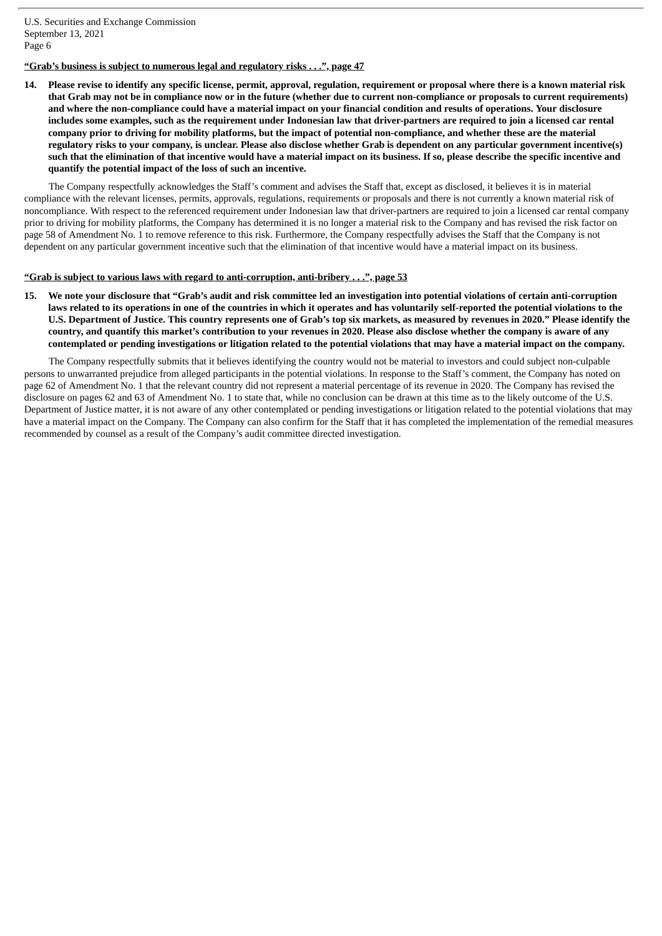**"Grab's business is subject to numerous legal and regulatory risks . . .", page 47**

14. Please revise to identify any specific license, permit, approval, regulation, requirement or proposal where there is a known material risk that Grab may not be in compliance now or in the future (whether due to current non-compliance or proposals to current requirements) and where the non-compliance could have a material impact on your financial condition and results of operations. Your disclosure includes some examples, such as the requirement under Indonesian law that driver-partners are required to join a licensed car rental company prior to driving for mobility platforms, but the impact of potential non-compliance, and whether these are the material regulatory risks to your company, is unclear. Please also disclose whether Grab is dependent on any particular government incentive(s) such that the elimination of that incentive would have a material impact on its business. If so, please describe the specific incentive and **quantify the potential impact of the loss of such an incentive.**

The Company respectfully acknowledges the Staff's comment and advises the Staff that, except as disclosed, it believes it is in material compliance with the relevant licenses, permits, approvals, regulations, requirements or proposals and there is not currently a known material risk of noncompliance. With respect to the referenced requirement under Indonesian law that driver-partners are required to join a licensed car rental company prior to driving for mobility platforms, the Company has determined it is no longer a material risk to the Company and has revised the risk factor on page 58 of Amendment No. 1 to remove reference to this risk. Furthermore, the Company respectfully advises the Staff that the Company is not dependent on any particular government incentive such that the elimination of that incentive would have a material impact on its business.

## **"Grab is subject to various laws with regard to anti-corruption, anti-bribery . . .", page 53**

15. We note your disclosure that "Grab's audit and risk committee led an investigation into potential violations of certain anti-corruption laws related to its operations in one of the countries in which it operates and has voluntarily self-reported the potential violations to the U.S. Department of Justice. This country represents one of Grab's top six markets, as measured by revenues in 2020." Please identify the country, and quantify this market's contribution to your revenues in 2020. Please also disclose whether the company is aware of any contemplated or pending investigations or litigation related to the potential violations that may have a material impact on the company.

The Company respectfully submits that it believes identifying the country would not be material to investors and could subject non-culpable persons to unwarranted prejudice from alleged participants in the potential violations. In response to the Staff's comment, the Company has noted on page 62 of Amendment No. 1 that the relevant country did not represent a material percentage of its revenue in 2020. The Company has revised the disclosure on pages 62 and 63 of Amendment No. 1 to state that, while no conclusion can be drawn at this time as to the likely outcome of the U.S. Department of Justice matter, it is not aware of any other contemplated or pending investigations or litigation related to the potential violations that may have a material impact on the Company. The Company can also confirm for the Staff that it has completed the implementation of the remedial measures recommended by counsel as a result of the Company's audit committee directed investigation.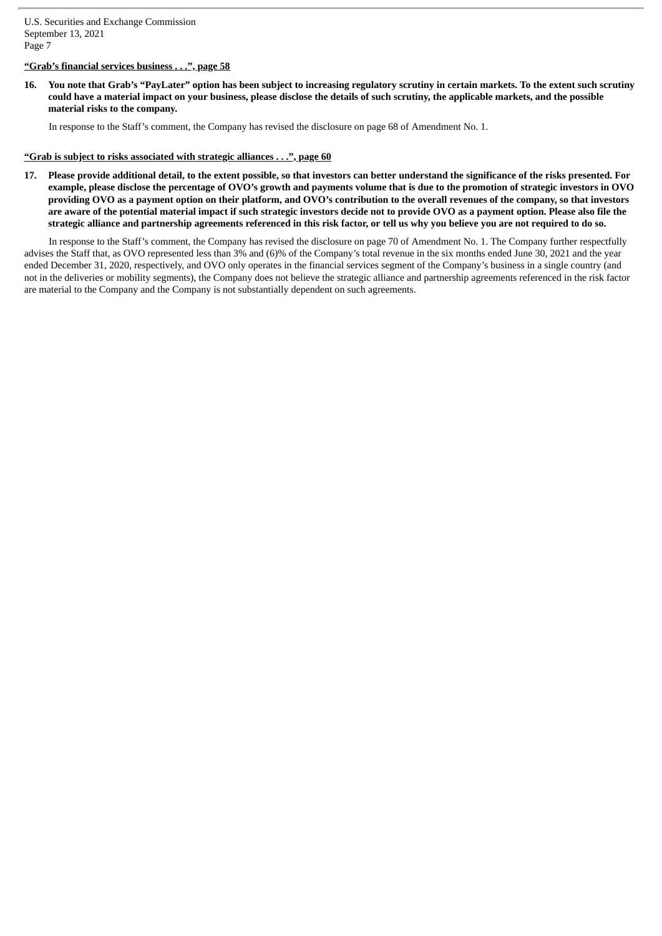# **"Grab's financial services business . . .", page 58**

16. You note that Grab's "PayLater" option has been subject to increasing regulatory scrutiny in certain markets. To the extent such scrutiny could have a material impact on your business, please disclose the details of such scrutiny, the applicable markets, and the possible **material risks to the company.**

In response to the Staff's comment, the Company has revised the disclosure on page 68 of Amendment No. 1.

### **"Grab is subject to risks associated with strategic alliances . . .", page 60**

17. Please provide additional detail, to the extent possible, so that investors can better understand the significance of the risks presented. For example, please disclose the percentage of OVO's growth and payments volume that is due to the promotion of strategic investors in OVO providing OVO as a payment option on their platform, and OVO's contribution to the overall revenues of the company, so that investors are aware of the potential material impact if such strategic investors decide not to provide OVO as a payment option. Please also file the strategic alliance and partnership agreements referenced in this risk factor, or tell us why you believe you are not required to do so.

In response to the Staff's comment, the Company has revised the disclosure on page 70 of Amendment No. 1. The Company further respectfully advises the Staff that, as OVO represented less than 3% and (6)% of the Company's total revenue in the six months ended June 30, 2021 and the year ended December 31, 2020, respectively, and OVO only operates in the financial services segment of the Company's business in a single country (and not in the deliveries or mobility segments), the Company does not believe the strategic alliance and partnership agreements referenced in the risk factor are material to the Company and the Company is not substantially dependent on such agreements.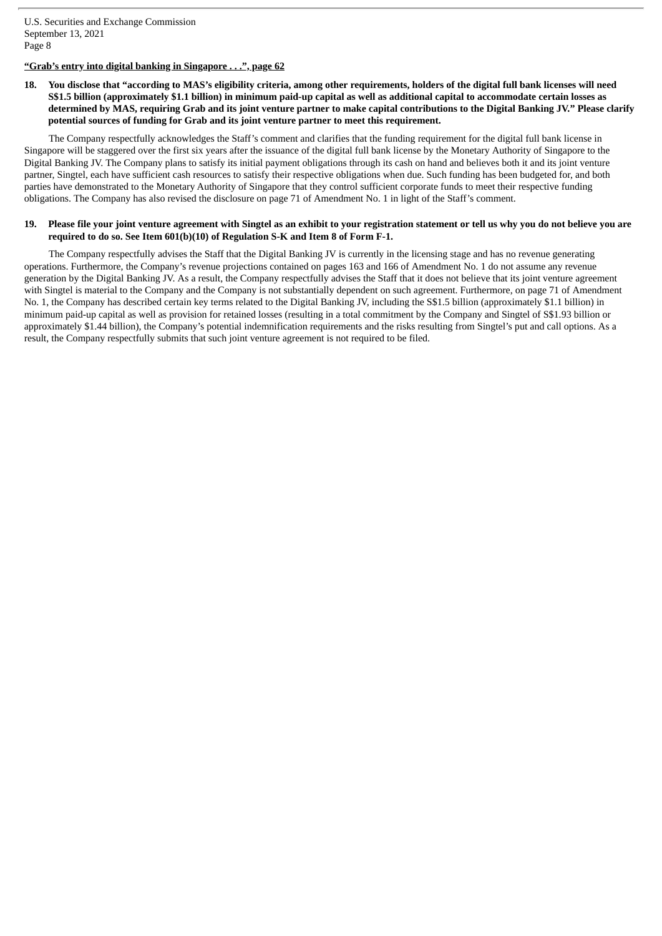# **"Grab's entry into digital banking in Singapore . . .", page 62**

## 18. You disclose that "according to MAS's eligibility criteria, among other requirements, holders of the digital full bank licenses will need S\$1.5 billion (approximately \$1.1 billion) in minimum paid-up capital as well as additional capital to accommodate certain losses as determined by MAS, requiring Grab and its joint venture partner to make capital contributions to the Digital Banking JV." Please clarify **potential sources of funding for Grab and its joint venture partner to meet this requirement.**

The Company respectfully acknowledges the Staff's comment and clarifies that the funding requirement for the digital full bank license in Singapore will be staggered over the first six years after the issuance of the digital full bank license by the Monetary Authority of Singapore to the Digital Banking JV. The Company plans to satisfy its initial payment obligations through its cash on hand and believes both it and its joint venture partner, Singtel, each have sufficient cash resources to satisfy their respective obligations when due. Such funding has been budgeted for, and both parties have demonstrated to the Monetary Authority of Singapore that they control sufficient corporate funds to meet their respective funding obligations. The Company has also revised the disclosure on page 71 of Amendment No. 1 in light of the Staff's comment.

## 19. Please file your joint venture agreement with Singtel as an exhibit to your registration statement or tell us why you do not believe you are **required to do so. See Item 601(b)(10) of Regulation S-K and Item 8 of Form F-1.**

The Company respectfully advises the Staff that the Digital Banking JV is currently in the licensing stage and has no revenue generating operations. Furthermore, the Company's revenue projections contained on pages 163 and 166 of Amendment No. 1 do not assume any revenue generation by the Digital Banking JV. As a result, the Company respectfully advises the Staff that it does not believe that its joint venture agreement with Singtel is material to the Company and the Company is not substantially dependent on such agreement. Furthermore, on page 71 of Amendment No. 1, the Company has described certain key terms related to the Digital Banking JV, including the S\$1.5 billion (approximately \$1.1 billion) in minimum paid-up capital as well as provision for retained losses (resulting in a total commitment by the Company and Singtel of S\$1.93 billion or approximately \$1.44 billion), the Company's potential indemnification requirements and the risks resulting from Singtel's put and call options. As a result, the Company respectfully submits that such joint venture agreement is not required to be filed.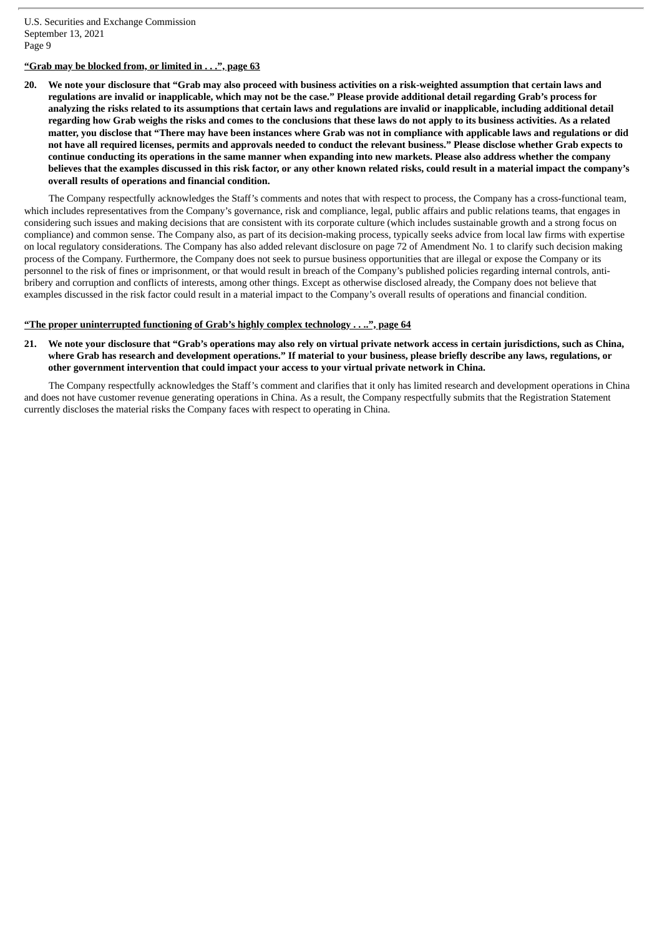# **"Grab may be blocked from, or limited in . . .", page 63**

20. We note your disclosure that "Grab may also proceed with business activities on a risk-weighted assumption that certain laws and regulations are invalid or inapplicable, which may not be the case." Please provide additional detail regarding Grab's process for analyzing the risks related to its assumptions that certain laws and regulations are invalid or inapplicable, including additional detail regarding how Grab weighs the risks and comes to the conclusions that these laws do not apply to its business activities. As a related matter, you disclose that "There may have been instances where Grab was not in compliance with applicable laws and regulations or did not have all required licenses, permits and approvals needed to conduct the relevant business." Please disclose whether Grab expects to continue conducting its operations in the same manner when expanding into new markets. Please also address whether the company believes that the examples discussed in this risk factor, or any other known related risks, could result in a material impact the company's **overall results of operations and financial condition.**

The Company respectfully acknowledges the Staff's comments and notes that with respect to process, the Company has a cross-functional team, which includes representatives from the Company's governance, risk and compliance, legal, public affairs and public relations teams, that engages in considering such issues and making decisions that are consistent with its corporate culture (which includes sustainable growth and a strong focus on compliance) and common sense. The Company also, as part of its decision-making process, typically seeks advice from local law firms with expertise on local regulatory considerations. The Company has also added relevant disclosure on page 72 of Amendment No. 1 to clarify such decision making process of the Company. Furthermore, the Company does not seek to pursue business opportunities that are illegal or expose the Company or its personnel to the risk of fines or imprisonment, or that would result in breach of the Company's published policies regarding internal controls, antibribery and corruption and conflicts of interests, among other things. Except as otherwise disclosed already, the Company does not believe that examples discussed in the risk factor could result in a material impact to the Company's overall results of operations and financial condition.

#### **"The proper uninterrupted functioning of Grab's highly complex technology . . ..", page 64**

21. We note your disclosure that "Grab's operations may also rely on virtual private network access in certain jurisdictions, such as China, where Grab has research and development operations." If material to your business, please briefly describe any laws, regulations, or **other government intervention that could impact your access to your virtual private network in China.**

The Company respectfully acknowledges the Staff's comment and clarifies that it only has limited research and development operations in China and does not have customer revenue generating operations in China. As a result, the Company respectfully submits that the Registration Statement currently discloses the material risks the Company faces with respect to operating in China.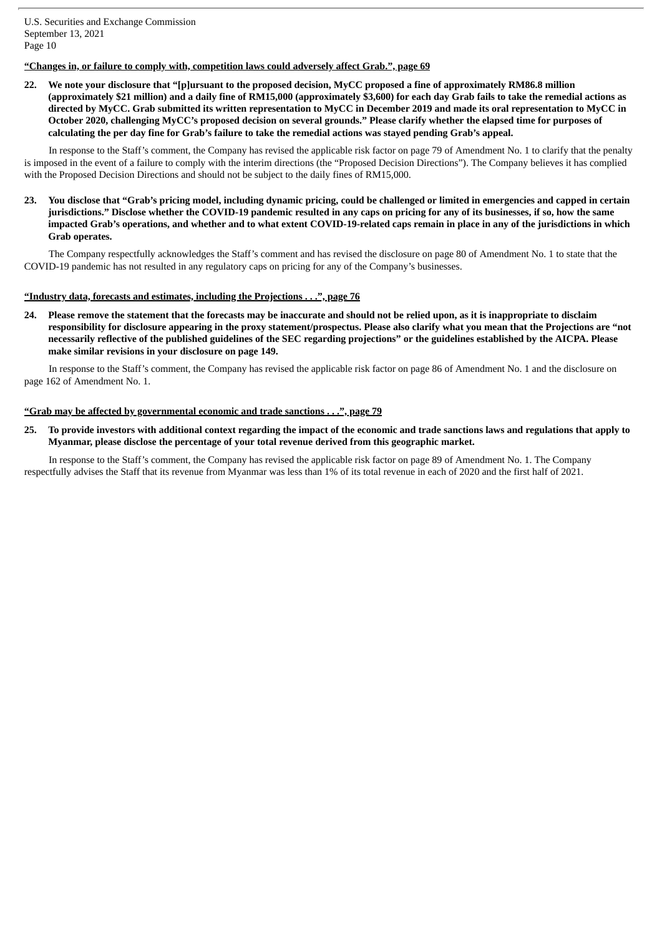# **"Changes in, or failure to comply with, competition laws could adversely affect Grab.", page 69**

22. We note vour disclosure that "[p]ursuant to the proposed decision, MyCC proposed a fine of approximately RM86.8 million (approximately \$21 million) and a daily fine of RM15,000 (approximately \$3,600) for each day Grab fails to take the remedial actions as directed by MyCC. Grab submitted its written representation to MyCC in December 2019 and made its oral representation to MyCC in October 2020, challenging MyCC's proposed decision on several grounds." Please clarify whether the elapsed time for purposes of calculating the per day fine for Grab's failure to take the remedial actions was staved pending Grab's appeal.

In response to the Staff's comment, the Company has revised the applicable risk factor on page 79 of Amendment No. 1 to clarify that the penalty is imposed in the event of a failure to comply with the interim directions (the "Proposed Decision Directions"). The Company believes it has complied with the Proposed Decision Directions and should not be subject to the daily fines of RM15,000.

23. You disclose that "Grab's pricing model, including dynamic pricing, could be challenged or limited in emergencies and capped in certain jurisdictions." Disclose whether the COVID-19 pandemic resulted in any caps on pricing for any of its businesses, if so, how the same impacted Grab's operations, and whether and to what extent COVID-19-related caps remain in place in any of the jurisdictions in which **Grab operates.**

The Company respectfully acknowledges the Staff's comment and has revised the disclosure on page 80 of Amendment No. 1 to state that the COVID-19 pandemic has not resulted in any regulatory caps on pricing for any of the Company's businesses.

## **"Industry data, forecasts and estimates, including the Projections . . .", page 76**

24. Please remove the statement that the forecasts may be inaccurate and should not be relied upon, as it is inappropriate to disclaim responsibility for disclosure appearing in the proxy statement/prospectus. Please also clarify what you mean that the Projections are "not necessarily reflective of the published guidelines of the SEC regarding projections" or the guidelines established by the AICPA. Please **make similar revisions in your disclosure on page 149.**

In response to the Staff's comment, the Company has revised the applicable risk factor on page 86 of Amendment No. 1 and the disclosure on page 162 of Amendment No. 1.

## **"Grab may be affected by governmental economic and trade sanctions . . .", page 79**

25. To provide investors with additional context regarding the impact of the economic and trade sanctions laws and regulations that apply to **Myanmar, please disclose the percentage of your total revenue derived from this geographic market.**

In response to the Staff's comment, the Company has revised the applicable risk factor on page 89 of Amendment No. 1. The Company respectfully advises the Staff that its revenue from Myanmar was less than 1% of its total revenue in each of 2020 and the first half of 2021.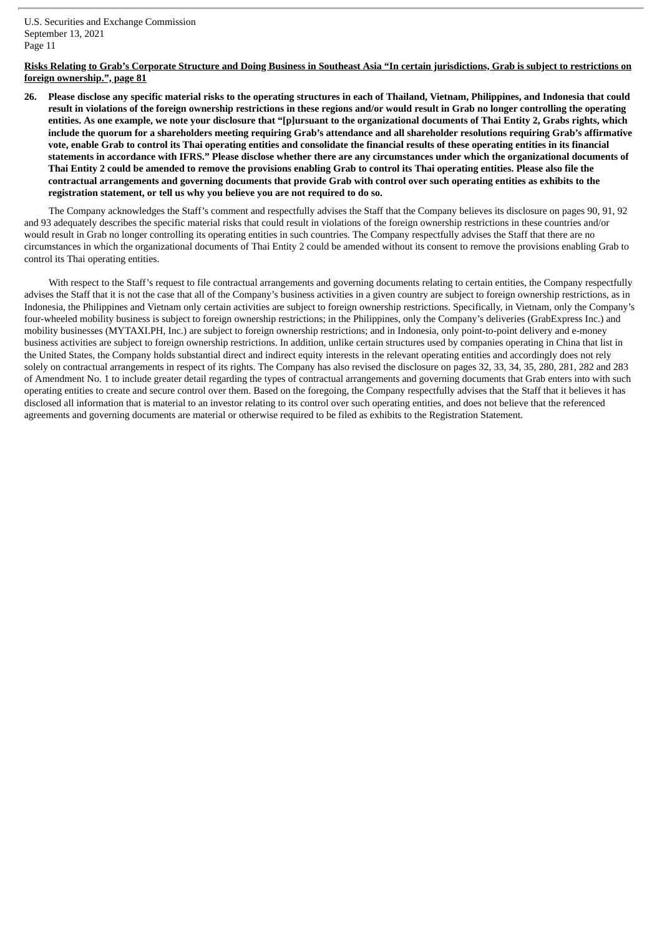## Risks Relating to Grab's Corporate Structure and Doing Business in Southeast Asia "In certain jurisdictions, Grab is subject to restrictions on **foreign ownership.", page 81**

26. Please disclose any specific material risks to the operating structures in each of Thailand, Vietnam, Philippines, and Indonesia that could result in violations of the foreign ownership restrictions in these regions and/or would result in Grab no longer controlling the operating entities. As one example, we note your disclosure that "[p]ursuant to the organizational documents of Thai Entity 2, Grabs rights, which include the quorum for a shareholders meeting requiring Grab's attendance and all shareholder resolutions requiring Grab's affirmative vote, enable Grab to control its Thai operating entities and consolidate the financial results of these operating entities in its financial statements in accordance with IFRS." Please disclose whether there are any circumstances under which the organizational documents of Thai Entity 2 could be amended to remove the provisions enabling Grab to control its Thai operating entities. Please also file the contractual arrangements and governing documents that provide Grab with control over such operating entities as exhibits to the **registration statement, or tell us why you believe you are not required to do so.**

The Company acknowledges the Staff's comment and respectfully advises the Staff that the Company believes its disclosure on pages 90, 91, 92 and 93 adequately describes the specific material risks that could result in violations of the foreign ownership restrictions in these countries and/or would result in Grab no longer controlling its operating entities in such countries. The Company respectfully advises the Staff that there are no circumstances in which the organizational documents of Thai Entity 2 could be amended without its consent to remove the provisions enabling Grab to control its Thai operating entities.

With respect to the Staff's request to file contractual arrangements and governing documents relating to certain entities, the Company respectfully advises the Staff that it is not the case that all of the Company's business activities in a given country are subject to foreign ownership restrictions, as in Indonesia, the Philippines and Vietnam only certain activities are subject to foreign ownership restrictions. Specifically, in Vietnam, only the Company's four-wheeled mobility business is subject to foreign ownership restrictions; in the Philippines, only the Company's deliveries (GrabExpress Inc.) and mobility businesses (MYTAXI.PH, Inc.) are subject to foreign ownership restrictions; and in Indonesia, only point-to-point delivery and e-money business activities are subject to foreign ownership restrictions. In addition, unlike certain structures used by companies operating in China that list in the United States, the Company holds substantial direct and indirect equity interests in the relevant operating entities and accordingly does not rely solely on contractual arrangements in respect of its rights. The Company has also revised the disclosure on pages 32, 33, 34, 35, 280, 281, 282 and 283 of Amendment No. 1 to include greater detail regarding the types of contractual arrangements and governing documents that Grab enters into with such operating entities to create and secure control over them. Based on the foregoing, the Company respectfully advises that the Staff that it believes it has disclosed all information that is material to an investor relating to its control over such operating entities, and does not believe that the referenced agreements and governing documents are material or otherwise required to be filed as exhibits to the Registration Statement.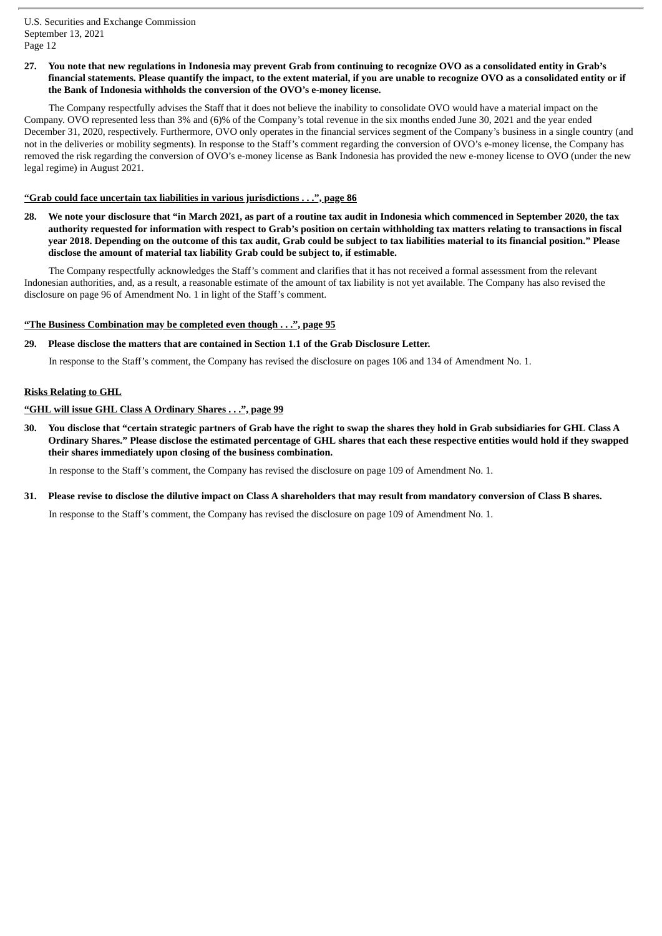## 27. You note that new regulations in Indonesia may prevent Grab from continuing to recognize OVO as a consolidated entity in Grab's financial statements. Please quantify the impact, to the extent material, if you are unable to recognize OVO as a consolidated entity or if **the Bank of Indonesia withholds the conversion of the OVO's e-money license.**

The Company respectfully advises the Staff that it does not believe the inability to consolidate OVO would have a material impact on the Company. OVO represented less than 3% and (6)% of the Company's total revenue in the six months ended June 30, 2021 and the year ended December 31, 2020, respectively. Furthermore, OVO only operates in the financial services segment of the Company's business in a single country (and not in the deliveries or mobility segments). In response to the Staff's comment regarding the conversion of OVO's e-money license, the Company has removed the risk regarding the conversion of OVO's e-money license as Bank Indonesia has provided the new e-money license to OVO (under the new legal regime) in August 2021.

# **"Grab could face uncertain tax liabilities in various jurisdictions . . .", page 86**

28. We note your disclosure that "in March 2021, as part of a routine tax audit in Indonesia which commenced in September 2020, the tax authority requested for information with respect to Grab's position on certain withholding tax matters relating to transactions in fiscal year 2018. Depending on the outcome of this tax audit, Grab could be subject to tax liabilities material to its financial position." Please **disclose the amount of material tax liability Grab could be subject to, if estimable.**

The Company respectfully acknowledges the Staff's comment and clarifies that it has not received a formal assessment from the relevant Indonesian authorities, and, as a result, a reasonable estimate of the amount of tax liability is not yet available. The Company has also revised the disclosure on page 96 of Amendment No. 1 in light of the Staff's comment.

# **"The Business Combination may be completed even though . . .", page 95**

# **29. Please disclose the matters that are contained in Section 1.1 of the Grab Disclosure Letter.**

In response to the Staff's comment, the Company has revised the disclosure on pages 106 and 134 of Amendment No. 1.

# **Risks Relating to GHL**

# **"GHL will issue GHL Class A Ordinary Shares . . .", page 99**

30. You disclose that "certain strategic partners of Grab have the right to swap the shares they hold in Grab subsidiaries for GHL Class A Ordinary Shares." Please disclose the estimated percentage of GHL shares that each these respective entities would hold if they swapped **their shares immediately upon closing of the business combination.**

In response to the Staff's comment, the Company has revised the disclosure on page 109 of Amendment No. 1.

# 31. Please revise to disclose the dilutive impact on Class A shareholders that may result from mandatory conversion of Class B shares.

In response to the Staff's comment, the Company has revised the disclosure on page 109 of Amendment No. 1.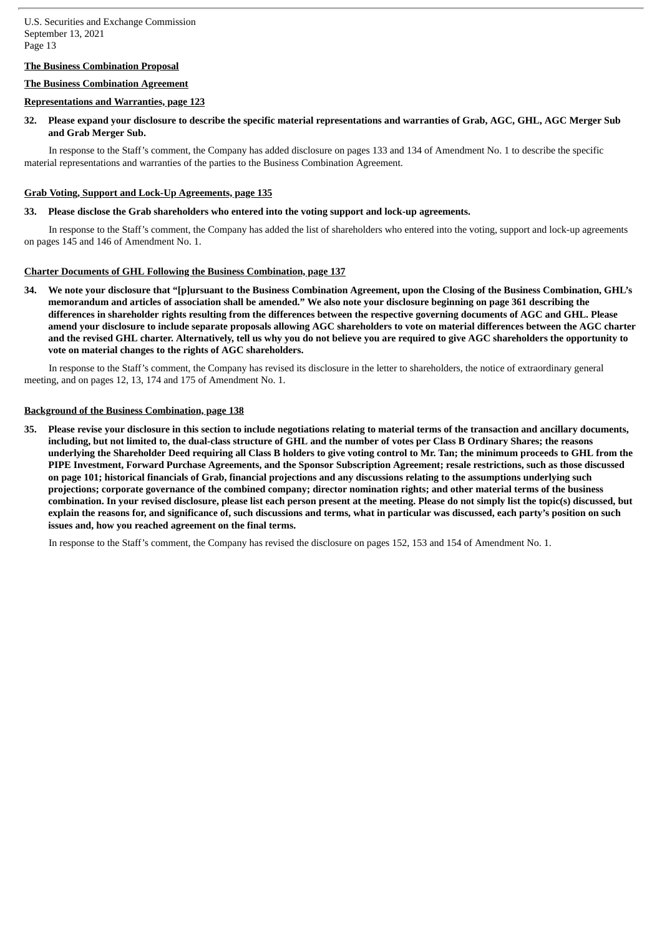## **The Business Combination Proposal**

## **The Business Combination Agreement**

#### **Representations and Warranties, page 123**

32. Please expand your disclosure to describe the specific material representations and warranties of Grab, AGC, GHL, AGC Merger Sub **and Grab Merger Sub.**

In response to the Staff's comment, the Company has added disclosure on pages 133 and 134 of Amendment No. 1 to describe the specific material representations and warranties of the parties to the Business Combination Agreement.

#### **Grab Voting, Support and Lock-Up Agreements, page 135**

#### **33. Please disclose the Grab shareholders who entered into the voting support and lock-up agreements.**

In response to the Staff's comment, the Company has added the list of shareholders who entered into the voting, support and lock-up agreements on pages 145 and 146 of Amendment No. 1.

### **Charter Documents of GHL Following the Business Combination, page 137**

34. We note vour disclosure that "[plursuant to the Business Combination Agreement, upon the Closing of the Business Combination, GHL's memorandum and articles of association shall be amended." We also note your disclosure beginning on page 361 describing the differences in shareholder rights resulting from the differences between the respective governing documents of AGC and GHL. Please amend your disclosure to include separate proposals allowing AGC shareholders to vote on material differences between the AGC charter and the revised GHL charter. Alternatively, tell us why you do not believe you are required to give AGC shareholders the opportunity to **vote on material changes to the rights of AGC shareholders.**

In response to the Staff's comment, the Company has revised its disclosure in the letter to shareholders, the notice of extraordinary general meeting, and on pages 12, 13, 174 and 175 of Amendment No. 1.

#### **Background of the Business Combination, page 138**

35. Please revise your disclosure in this section to include negotiations relating to material terms of the transaction and ancillary documents, including, but not limited to, the dual-class structure of GHL and the number of votes per Class B Ordinary Shares; the reasons underlying the Shareholder Deed requiring all Class B holders to give voting control to Mr. Tan; the minimum proceeds to GHL from the PIPE Investment, Forward Purchase Agreements, and the Sponsor Subscription Agreement; resale restrictions, such as those discussed on page 101; historical financials of Grab, financial projections and any discussions relating to the assumptions underlying such projections; corporate governance of the combined company; director nomination rights; and other material terms of the business combination. In your revised disclosure, please list each person present at the meeting. Please do not simply list the topic(s) discussed, but explain the reasons for, and significance of, such discussions and terms, what in particular was discussed, each party's position on such **issues and, how you reached agreement on the final terms.**

In response to the Staff's comment, the Company has revised the disclosure on pages 152, 153 and 154 of Amendment No. 1.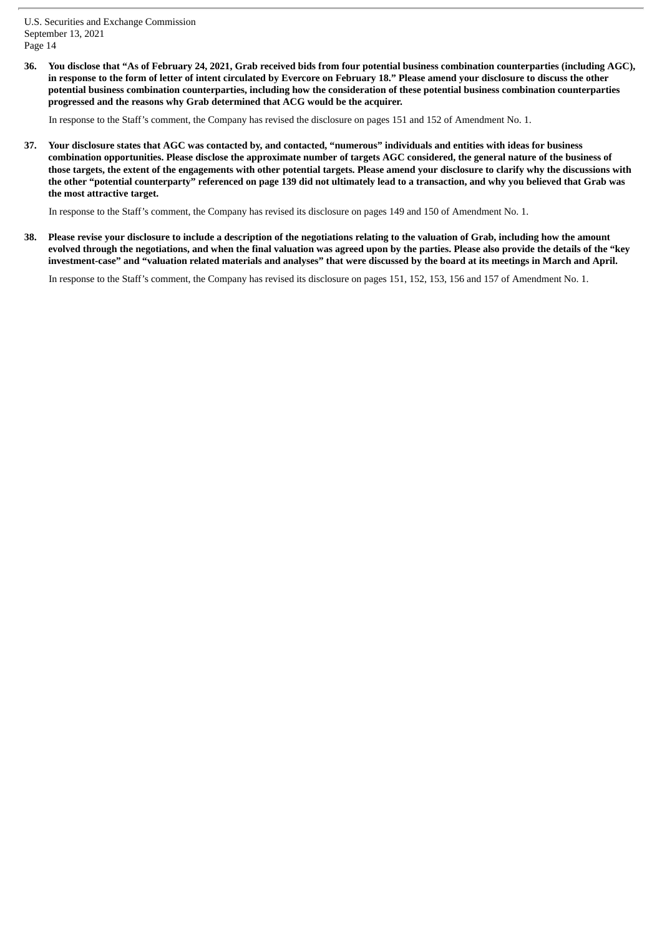36. You disclose that "As of February 24, 2021, Grab received bids from four potential business combination counterparties (including AGC), in response to the form of letter of intent circulated by Evercore on February 18." Please amend your disclosure to discuss the other potential business combination counterparties, including how the consideration of these potential business combination counterparties **progressed and the reasons why Grab determined that ACG would be the acquirer.**

In response to the Staff's comment, the Company has revised the disclosure on pages 151 and 152 of Amendment No. 1.

37. Your disclosure states that AGC was contacted by, and contacted, "numerous" individuals and entities with ideas for business combination opportunities. Please disclose the approximate number of targets AGC considered, the general nature of the business of those targets, the extent of the engagements with other potential targets. Please amend your disclosure to clarify why the discussions with the other "potential counterparty" referenced on page 139 did not ultimately lead to a transaction, and why you believed that Grab was **the most attractive target.**

In response to the Staff's comment, the Company has revised its disclosure on pages 149 and 150 of Amendment No. 1.

38. Please revise your disclosure to include a description of the negotiations relating to the valuation of Grab, including how the amount evolved through the negotiations, and when the final valuation was agreed upon by the parties. Please also provide the details of the "key investment-case" and "valuation related materials and analyses" that were discussed by the board at its meetings in March and April.

In response to the Staff's comment, the Company has revised its disclosure on pages 151, 152, 153, 156 and 157 of Amendment No. 1.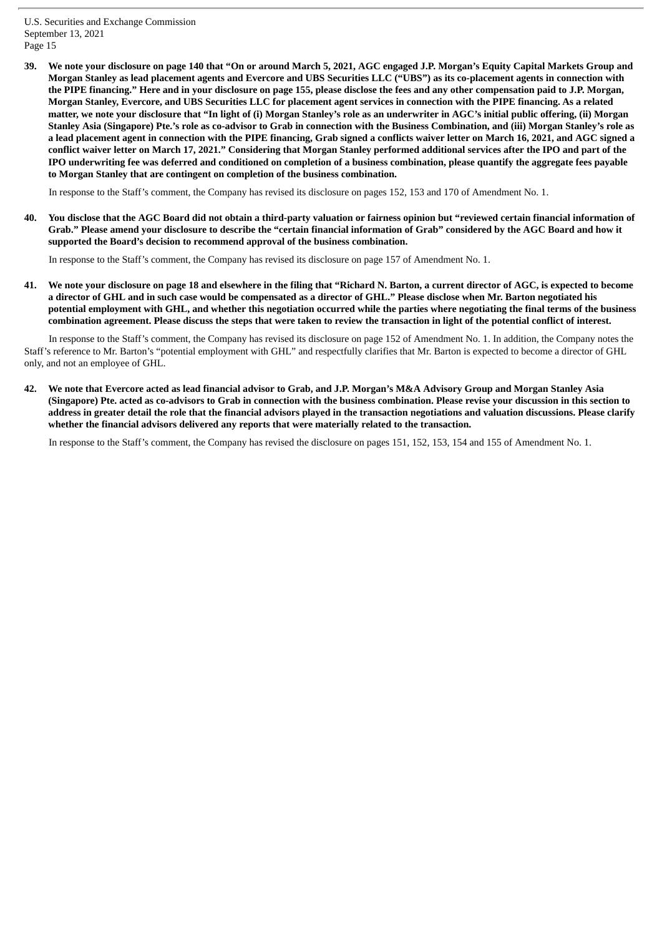39. We note your disclosure on page 140 that "On or around March 5, 2021, AGC engaged J.P. Morgan's Equity Capital Markets Group and Morgan Stanley as lead placement agents and Evercore and UBS Securities LLC ("UBS") as its co-placement agents in connection with the PIPE financing." Here and in your disclosure on page 155, please disclose the fees and any other compensation paid to J.P. Morgan, Morgan Stanley, Evercore, and UBS Securities LLC for placement agent services in connection with the PIPE financing. As a related matter, we note your disclosure that "In light of (i) Morgan Stanley's role as an underwriter in AGC's initial public offering, (ii) Morgan Stanley Asia (Singapore) Pte.'s role as co-advisor to Grab in connection with the Business Combination, and (iii) Morgan Stanley's role as a lead placement agent in connection with the PIPE financing, Grab signed a conflicts waiver letter on March 16, 2021, and AGC signed a conflict waiver letter on March 17, 2021." Considering that Morgan Stanley performed additional services after the IPO and part of the IPO underwriting fee was deferred and conditioned on completion of a business combination, please quantify the aggregate fees payable **to Morgan Stanley that are contingent on completion of the business combination.**

In response to the Staff's comment, the Company has revised its disclosure on pages 152, 153 and 170 of Amendment No. 1.

40. You disclose that the AGC Board did not obtain a third-party valuation or fairness opinion but "reviewed certain financial information of Grab." Please amend your disclosure to describe the "certain financial information of Grab" considered by the AGC Board and how it **supported the Board's decision to recommend approval of the business combination.**

In response to the Staff's comment, the Company has revised its disclosure on page 157 of Amendment No. 1.

41. We note your disclosure on page 18 and elsewhere in the filing that "Richard N. Barton, a current director of AGC, is expected to become a director of GHL and in such case would be compensated as a director of GHL." Please disclose when Mr. Barton negotiated his potential employment with GHL, and whether this negotiation occurred while the parties where negotiating the final terms of the business combination agreement. Please discuss the steps that were taken to review the transaction in light of the potential conflict of interest.

In response to the Staff's comment, the Company has revised its disclosure on page 152 of Amendment No. 1. In addition, the Company notes the Staff's reference to Mr. Barton's "potential employment with GHL" and respectfully clarifies that Mr. Barton is expected to become a director of GHL only, and not an employee of GHL.

42. We note that Evercore acted as lead financial advisor to Grab, and J.P. Morgan's M&A Advisory Group and Morgan Stanley Asia (Singapore) Pte. acted as co-advisors to Grab in connection with the business combination. Please revise your discussion in this section to address in greater detail the role that the financial advisors played in the transaction negotiations and valuation discussions. Please clarify **whether the financial advisors delivered any reports that were materially related to the transaction.**

In response to the Staff's comment, the Company has revised the disclosure on pages 151, 152, 153, 154 and 155 of Amendment No. 1.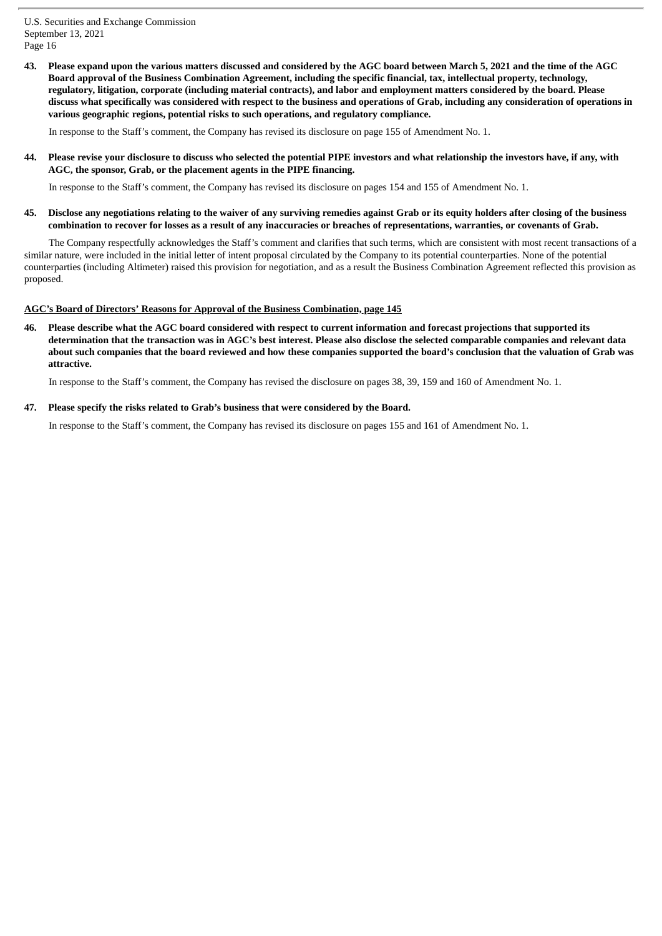43. Please expand upon the various matters discussed and considered by the AGC board between March 5, 2021 and the time of the AGC Board approval of the Business Combination Agreement, including the specific financial, tax, intellectual property, technology, regulatory, litigation, corporate (including material contracts), and labor and employment matters considered by the board. Please discuss what specifically was considered with respect to the business and operations of Grab, including any consideration of operations in **various geographic regions, potential risks to such operations, and regulatory compliance.**

In response to the Staff's comment, the Company has revised its disclosure on page 155 of Amendment No. 1.

44. Please revise your disclosure to discuss who selected the potential PIPE investors and what relationship the investors have, if any, with **AGC, the sponsor, Grab, or the placement agents in the PIPE financing.**

In response to the Staff's comment, the Company has revised its disclosure on pages 154 and 155 of Amendment No. 1.

45. Disclose any negotiations relating to the waiver of any surviving remedies against Grab or its equity holders after closing of the business combination to recover for losses as a result of any inaccuracies or breaches of representations, warranties, or covenants of Grab.

The Company respectfully acknowledges the Staff's comment and clarifies that such terms, which are consistent with most recent transactions of a similar nature, were included in the initial letter of intent proposal circulated by the Company to its potential counterparties. None of the potential counterparties (including Altimeter) raised this provision for negotiation, and as a result the Business Combination Agreement reflected this provision as proposed.

## **AGC's Board of Directors' Reasons for Approval of the Business Combination, page 145**

Please describe what the AGC board considered with respect to current information and forecast projections that supported its determination that the transaction was in AGC's best interest. Please also disclose the selected comparable companies and relevant data about such companies that the board reviewed and how these companies supported the board's conclusion that the valuation of Grab was **attractive.**

In response to the Staff's comment, the Company has revised the disclosure on pages 38, 39, 159 and 160 of Amendment No. 1.

#### **47. Please specify the risks related to Grab's business that were considered by the Board.**

In response to the Staff's comment, the Company has revised its disclosure on pages 155 and 161 of Amendment No. 1.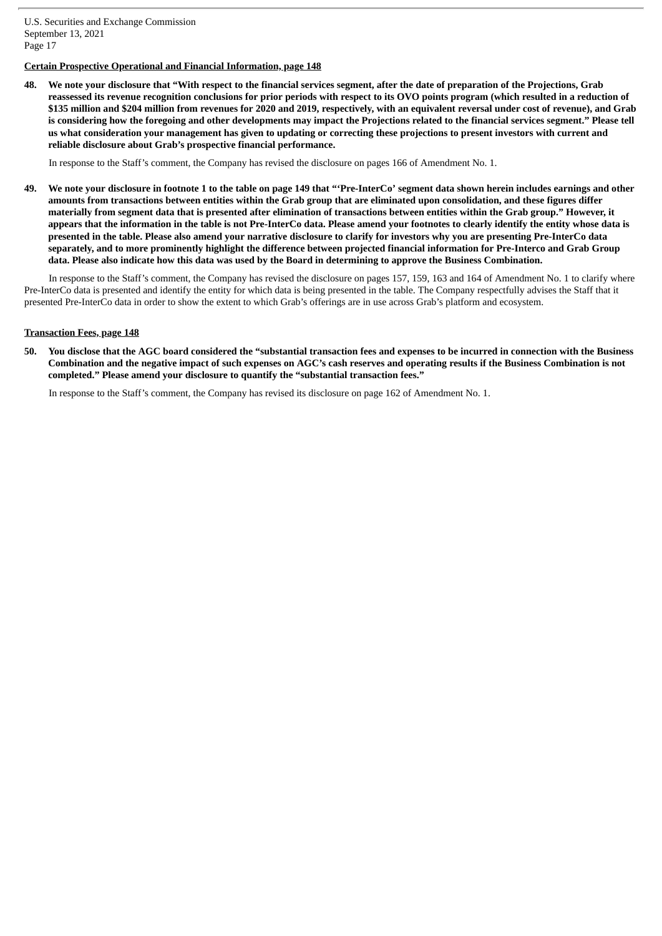# **Certain Prospective Operational and Financial Information, page 148**

48. We note vour disclosure that "With respect to the financial services segment, after the date of preparation of the Projections, Grab reassessed its revenue recognition conclusions for prior periods with respect to its OVO points program (which resulted in a reduction of \$135 million and \$204 million from revenues for 2020 and 2019, respectively, with an equivalent reversal under cost of revenue), and Grab is considering how the foregoing and other developments may impact the Projections related to the financial services segment." Please tell us what consideration your management has given to updating or correcting these projections to present investors with current and **reliable disclosure about Grab's prospective financial performance.**

In response to the Staff's comment, the Company has revised the disclosure on pages 166 of Amendment No. 1.

49. We note your disclosure in footnote 1 to the table on page 149 that "Pre-InterCo' segment data shown herein includes earnings and other amounts from transactions between entities within the Grab group that are eliminated upon consolidation, and these figures differ materially from segment data that is presented after elimination of transactions between entities within the Grab group." However, it appears that the information in the table is not Pre-InterCo data. Please amend your footnotes to clearly identify the entity whose data is presented in the table. Please also amend your narrative disclosure to clarify for investors why you are presenting Pre-InterCo data separately, and to more prominently highlight the difference between projected financial information for Pre-Interco and Grab Group data. Please also indicate how this data was used by the Board in determining to approve the Business Combination.

In response to the Staff's comment, the Company has revised the disclosure on pages 157, 159, 163 and 164 of Amendment No. 1 to clarify where Pre-InterCo data is presented and identify the entity for which data is being presented in the table. The Company respectfully advises the Staff that it presented Pre-InterCo data in order to show the extent to which Grab's offerings are in use across Grab's platform and ecosystem.

## **Transaction Fees, page 148**

50. You disclose that the AGC board considered the "substantial transaction fees and expenses to be incurred in connection with the Business Combination and the negative impact of such expenses on AGC's cash reserves and operating results if the Business Combination is not **completed." Please amend your disclosure to quantify the "substantial transaction fees."**

In response to the Staff's comment, the Company has revised its disclosure on page 162 of Amendment No. 1.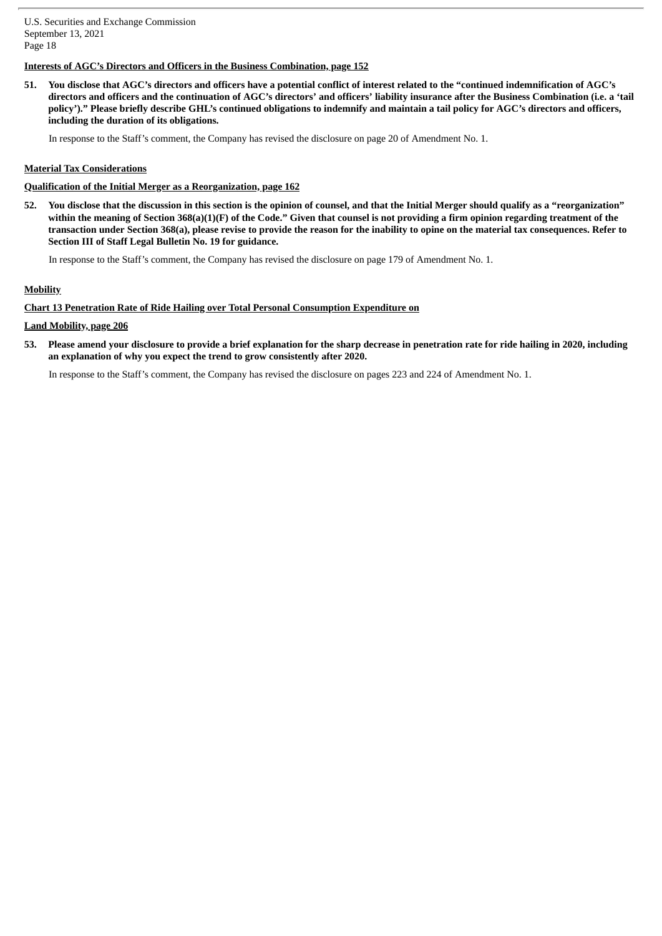# **Interests of AGC's Directors and Officers in the Business Combination, page 152**

51. You disclose that AGC's directors and officers have a potential conflict of interest related to the "continued indemnification of AGC's directors and officers and the continuation of AGC's directors' and officers' liability insurance after the Business Combination (i.e. a 'tail policy')." Please briefly describe GHL's continued obligations to indemnify and maintain a tail policy for AGC's directors and officers, **including the duration of its obligations.**

In response to the Staff's comment, the Company has revised the disclosure on page 20 of Amendment No. 1.

## **Material Tax Considerations**

#### **Qualification of the Initial Merger as a Reorganization, page 162**

52. You disclose that the discussion in this section is the opinion of counsel, and that the Initial Merger should qualify as a "reorganization" within the meaning of Section 368(a)(1)(F) of the Code." Given that counsel is not providing a firm opinion regarding treatment of the transaction under Section 368(a), please revise to provide the reason for the inability to opine on the material tax consequences. Refer to **Section III of Staff Legal Bulletin No. 19 for guidance.**

In response to the Staff's comment, the Company has revised the disclosure on page 179 of Amendment No. 1.

## **Mobility**

#### **Chart 13 Penetration Rate of Ride Hailing over Total Personal Consumption Expenditure on**

## **Land Mobility, page 206**

53. Please amend your disclosure to provide a brief explanation for the sharp decrease in penetration rate for ride hailing in 2020, including **an explanation of why you expect the trend to grow consistently after 2020.**

In response to the Staff's comment, the Company has revised the disclosure on pages 223 and 224 of Amendment No. 1.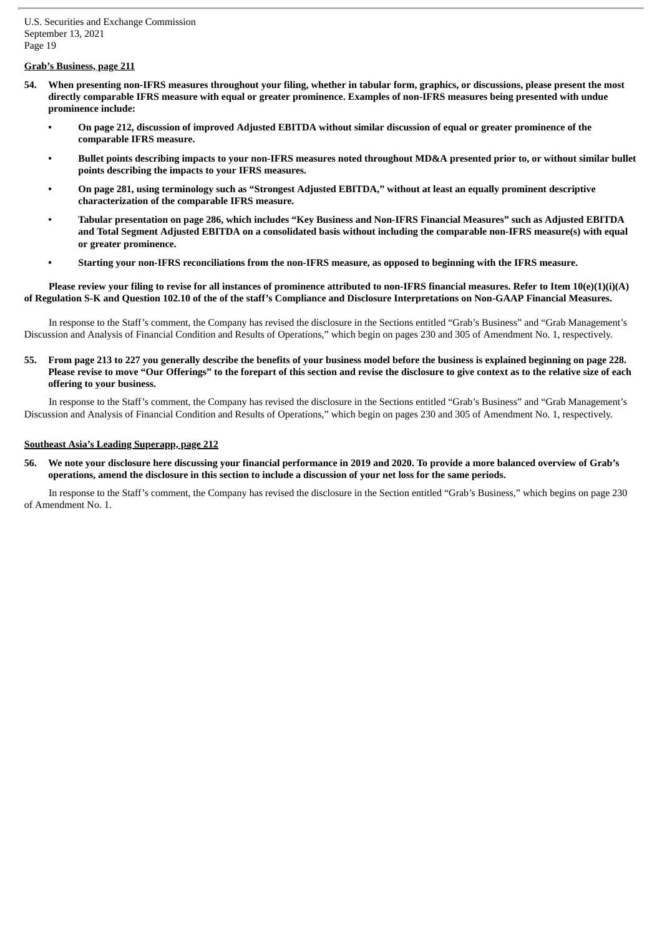## **Grab's Business, page 211**

- 54. When presenting non-IFRS measures throughout your filing, whether in tabular form, graphics, or discussions, please present the most directly comparable IFRS measure with equal or greater prominence. Examples of non-IFRS measures being presented with undue **prominence include:**
	- On page 212, discussion of improved Adjusted EBITDA without similar discussion of equal or greater prominence of the **comparable IFRS measure.**
	- Bullet points describing impacts to your non-IFRS measures noted throughout MD&A presented prior to, or without similar bullet **points describing the impacts to your IFRS measures.**
	- On page 281, using terminology such as "Strongest Adjusted EBITDA," without at least an equally prominent descriptive **characterization of the comparable IFRS measure.**
	- Tabular presentation on page 286, which includes "Key Business and Non-IFRS Financial Measures" such as Adjusted EBITDA and Total Segment Adjusted EBITDA on a consolidated basis without including the comparable non-IFRS measure(s) with equal **or greater prominence.**
	- Starting your non-IFRS reconciliations from the non-IFRS measure, as opposed to beginning with the IFRS measure.

#### Please review your filing to revise for all instances of prominence attributed to non-IFRS financial measures. Refer to Item 10(e)(1)(i)(A) of Regulation S-K and Question 102.10 of the of the staff's Compliance and Disclosure Interpretations on Non-GAAP Financial Measures.

In response to the Staff's comment, the Company has revised the disclosure in the Sections entitled "Grab's Business" and "Grab Management's Discussion and Analysis of Financial Condition and Results of Operations," which begin on pages 230 and 305 of Amendment No. 1, respectively.

## 55. From page 213 to 227 you generally describe the benefits of your business model before the business is explained beginning on page 228. Please revise to move "Our Offerings" to the forepart of this section and revise the disclosure to give context as to the relative size of each **offering to your business.**

In response to the Staff's comment, the Company has revised the disclosure in the Sections entitled "Grab's Business" and "Grab Management's Discussion and Analysis of Financial Condition and Results of Operations," which begin on pages 230 and 305 of Amendment No. 1, respectively.

#### **Southeast Asia's Leading Superapp, page 212**

56. We note your disclosure here discussing your financial performance in 2019 and 2020. To provide a more balanced overview of Grab's operations, amend the disclosure in this section to include a discussion of your net loss for the same periods.

In response to the Staff's comment, the Company has revised the disclosure in the Section entitled "Grab's Business," which begins on page 230 of Amendment No. 1.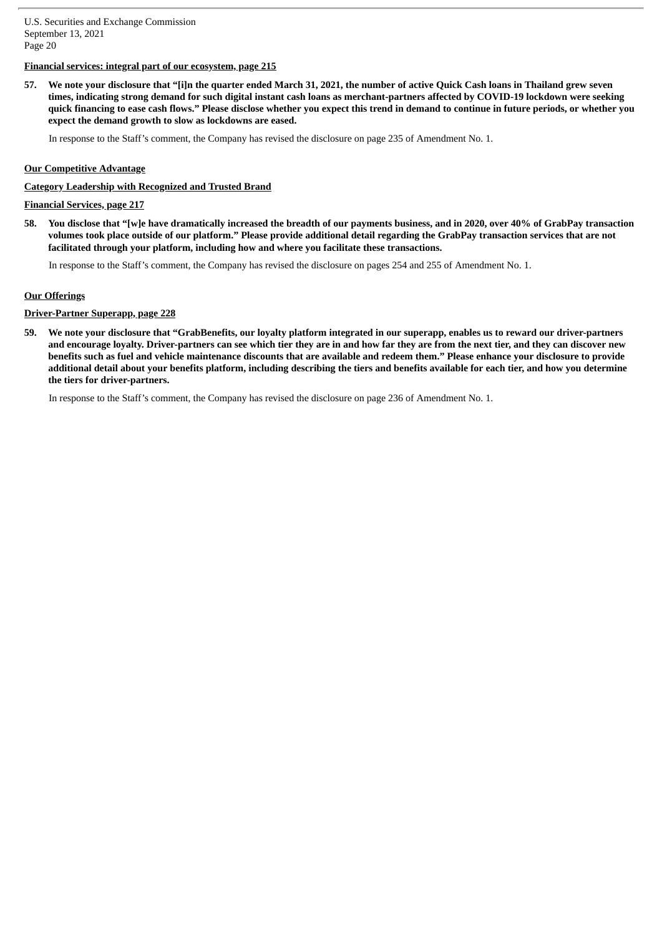## **Financial services: integral part of our ecosystem, page 215**

57. We note your disclosure that "[i]n the quarter ended March 31, 2021, the number of active Quick Cash loans in Thailand grew seven times, indicating strong demand for such digital instant cash loans as merchant-partners affected by COVID-19 lockdown were seeking quick financing to ease cash flows." Please disclose whether you expect this trend in demand to continue in future periods, or whether you **expect the demand growth to slow as lockdowns are eased.**

In response to the Staff's comment, the Company has revised the disclosure on page 235 of Amendment No. 1.

#### **Our Competitive Advantage**

### **Category Leadership with Recognized and Trusted Brand**

**Financial Services, page 217**

58. You disclose that "[w]e have dramatically increased the breadth of our payments business, and in 2020, over 40% of GrabPay transaction volumes took place outside of our platform." Please provide additional detail regarding the GrabPay transaction services that are not **facilitated through your platform, including how and where you facilitate these transactions.**

In response to the Staff's comment, the Company has revised the disclosure on pages 254 and 255 of Amendment No. 1.

#### **Our Offerings**

#### **Driver-Partner Superapp, page 228**

59. We note your disclosure that "GrabBenefits, our loyalty platform integrated in our superapp, enables us to reward our driver-partners and encourage loyalty. Driver-partners can see which tier they are in and how far they are from the next tier, and they can discover new benefits such as fuel and vehicle maintenance discounts that are available and redeem them." Please enhance your disclosure to provide additional detail about your benefits platform, including describing the tiers and benefits available for each tier, and how you determine **the tiers for driver-partners.**

In response to the Staff's comment, the Company has revised the disclosure on page 236 of Amendment No. 1.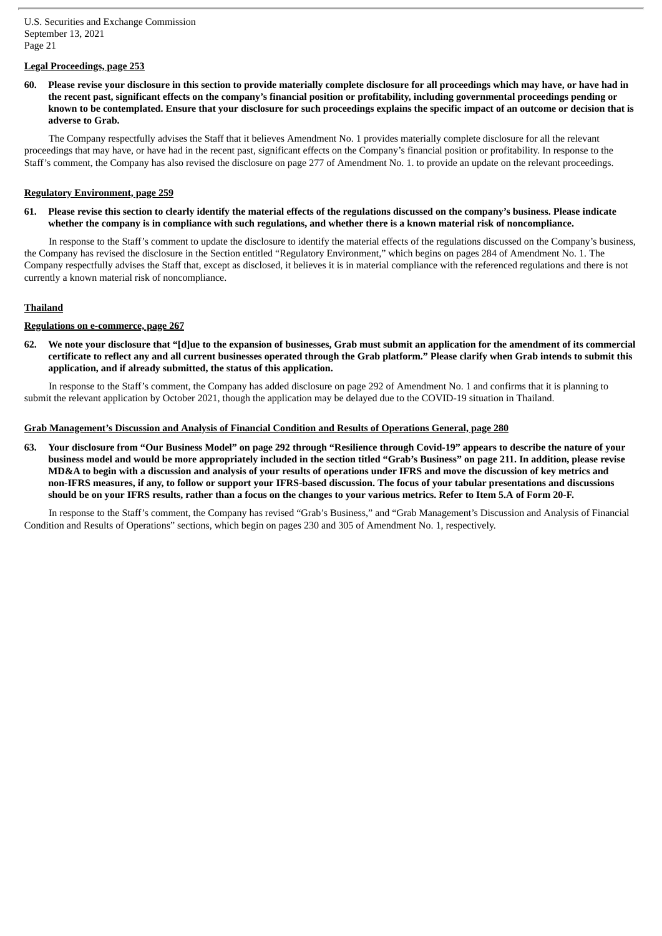## **Legal Proceedings, page 253**

60. Please revise your disclosure in this section to provide materially complete disclosure for all proceedings which may have, or have had in the recent past, significant effects on the company's financial position or profitability, including governmental proceedings pending or known to be contemplated. Ensure that your disclosure for such proceedings explains the specific impact of an outcome or decision that is **adverse to Grab.**

The Company respectfully advises the Staff that it believes Amendment No. 1 provides materially complete disclosure for all the relevant proceedings that may have, or have had in the recent past, significant effects on the Company's financial position or profitability. In response to the Staff's comment, the Company has also revised the disclosure on page 277 of Amendment No. 1. to provide an update on the relevant proceedings.

## **Regulatory Environment, page 259**

61. Please revise this section to clearly identify the material effects of the regulations discussed on the company's business. Please indicate whether the company is in compliance with such regulations, and whether there is a known material risk of noncompliance.

In response to the Staff's comment to update the disclosure to identify the material effects of the regulations discussed on the Company's business, the Company has revised the disclosure in the Section entitled "Regulatory Environment," which begins on pages 284 of Amendment No. 1. The Company respectfully advises the Staff that, except as disclosed, it believes it is in material compliance with the referenced regulations and there is not currently a known material risk of noncompliance.

## **Thailand**

## **Regulations on e-commerce, page 267**

62. We note your disclosure that "[d]ue to the expansion of businesses, Grab must submit an application for the amendment of its commercial certificate to reflect any and all current businesses operated through the Grab platform." Please clarify when Grab intends to submit this **application, and if already submitted, the status of this application.**

In response to the Staff's comment, the Company has added disclosure on page 292 of Amendment No. 1 and confirms that it is planning to submit the relevant application by October 2021, though the application may be delayed due to the COVID-19 situation in Thailand.

## **Grab Management's Discussion and Analysis of Financial Condition and Results of Operations General, page 280**

63. Your disclosure from "Our Business Model" on page 292 through "Resilience through Covid-19" appears to describe the nature of your business model and would be more appropriately included in the section titled "Grab's Business" on page 211. In addition, please revise MD&A to begin with a discussion and analysis of your results of operations under IFRS and move the discussion of key metrics and non-IFRS measures, if any, to follow or support your IFRS-based discussion. The focus of your tabular presentations and discussions should be on your IFRS results, rather than a focus on the changes to your various metrics. Refer to Item 5.A of Form 20-F.

In response to the Staff's comment, the Company has revised "Grab's Business," and "Grab Management's Discussion and Analysis of Financial Condition and Results of Operations" sections, which begin on pages 230 and 305 of Amendment No. 1, respectively.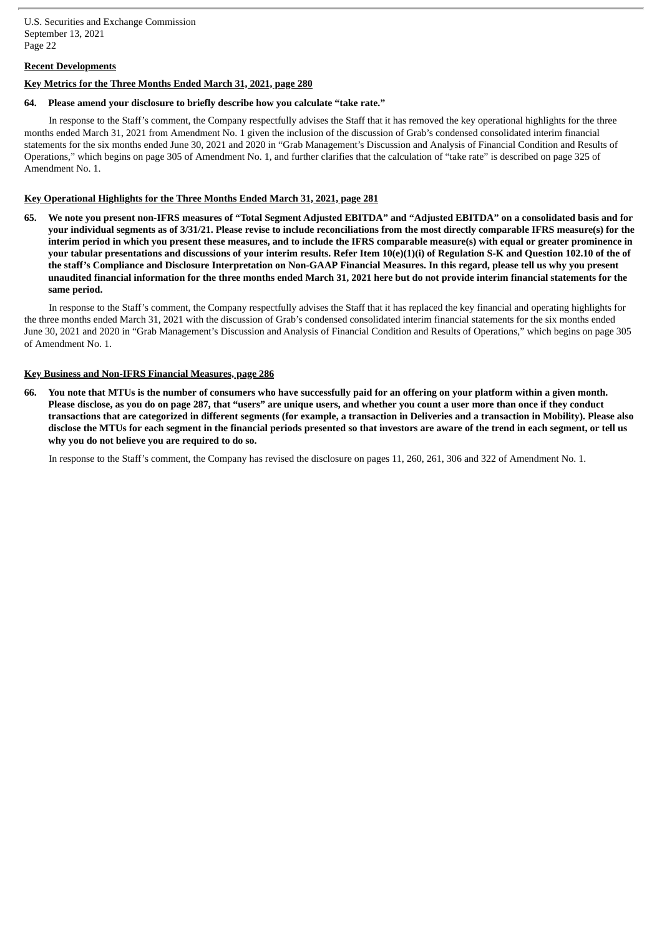# **Recent Developments**

## **Key Metrics for the Three Months Ended March 31, 2021, page 280**

## **64. Please amend your disclosure to briefly describe how you calculate "take rate."**

In response to the Staff's comment, the Company respectfully advises the Staff that it has removed the key operational highlights for the three months ended March 31, 2021 from Amendment No. 1 given the inclusion of the discussion of Grab's condensed consolidated interim financial statements for the six months ended June 30, 2021 and 2020 in "Grab Management's Discussion and Analysis of Financial Condition and Results of Operations," which begins on page 305 of Amendment No. 1, and further clarifies that the calculation of "take rate" is described on page 325 of Amendment No. 1.

## **Key Operational Highlights for the Three Months Ended March 31, 2021, page 281**

65. We note you present non-IFRS measures of "Total Segment Adjusted EBITDA" and "Adjusted EBITDA" on a consolidated basis and for your individual segments as of 3/31/21. Please revise to include reconciliations from the most directly comparable IFRS measure(s) for the interim period in which you present these measures, and to include the IFRS comparable measure(s) with equal or greater prominence in your tabular presentations and discussions of your interim results. Refer Item 10(e)(1)(i) of Regulation S-K and Ouestion 102.10 of the of the staff's Compliance and Disclosure Interpretation on Non-GAAP Financial Measures. In this regard, please tell us why you present unaudited financial information for the three months ended March 31, 2021 here but do not provide interim financial statements for the **same period.**

In response to the Staff's comment, the Company respectfully advises the Staff that it has replaced the key financial and operating highlights for the three months ended March 31, 2021 with the discussion of Grab's condensed consolidated interim financial statements for the six months ended June 30, 2021 and 2020 in "Grab Management's Discussion and Analysis of Financial Condition and Results of Operations," which begins on page 305 of Amendment No. 1.

## **Key Business and Non-IFRS Financial Measures, page 286**

66. You note that MTUs is the number of consumers who have successfully paid for an offering on your platform within a given month. Please disclose, as you do on page 287, that "users" are unique users, and whether you count a user more than once if they conduct transactions that are categorized in different segments (for example, a transaction in Deliveries and a transaction in Mobility). Please also disclose the MTUs for each segment in the financial periods presented so that investors are aware of the trend in each segment, or tell us **why you do not believe you are required to do so.**

In response to the Staff's comment, the Company has revised the disclosure on pages 11, 260, 261, 306 and 322 of Amendment No. 1.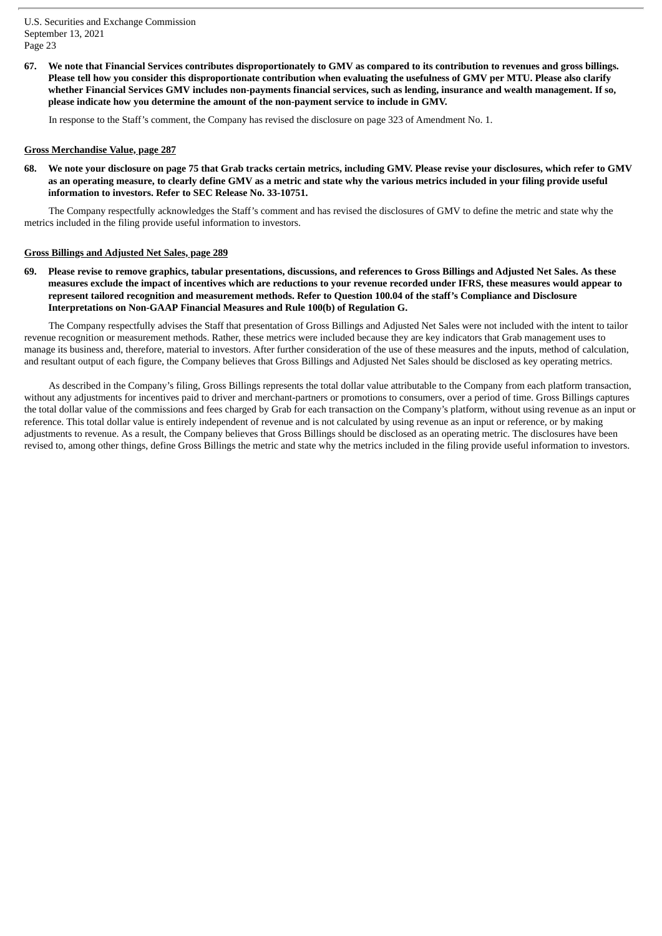67. We note that Financial Services contributes disproportionately to GMV as compared to its contribution to revenues and gross billings. Please tell how you consider this disproportionate contribution when evaluating the usefulness of GMV per MTU. Please also clarify whether Financial Services GMV includes non-payments financial services, such as lending, insurance and wealth management. If so, **please indicate how you determine the amount of the non-payment service to include in GMV.**

In response to the Staff's comment, the Company has revised the disclosure on page 323 of Amendment No. 1.

#### **Gross Merchandise Value, page 287**

68. We note your disclosure on page 75 that Grab tracks certain metrics, including GMV. Please revise your disclosures, which refer to GMV as an operating measure, to clearly define GMV as a metric and state why the various metrics included in your filing provide useful **information to investors. Refer to SEC Release No. 33-10751.**

The Company respectfully acknowledges the Staff's comment and has revised the disclosures of GMV to define the metric and state why the metrics included in the filing provide useful information to investors.

#### **Gross Billings and Adjusted Net Sales, page 289**

Please revise to remove graphics, tabular presentations, discussions, and references to Gross Billings and Adjusted Net Sales. As these measures exclude the impact of incentives which are reductions to your revenue recorded under IFRS, these measures would appear to represent tailored recognition and measurement methods. Refer to Question 100.04 of the staff's Compliance and Disclosure **Interpretations on Non-GAAP Financial Measures and Rule 100(b) of Regulation G.**

The Company respectfully advises the Staff that presentation of Gross Billings and Adjusted Net Sales were not included with the intent to tailor revenue recognition or measurement methods. Rather, these metrics were included because they are key indicators that Grab management uses to manage its business and, therefore, material to investors. After further consideration of the use of these measures and the inputs, method of calculation, and resultant output of each figure, the Company believes that Gross Billings and Adjusted Net Sales should be disclosed as key operating metrics.

As described in the Company's filing, Gross Billings represents the total dollar value attributable to the Company from each platform transaction, without any adjustments for incentives paid to driver and merchant-partners or promotions to consumers, over a period of time. Gross Billings captures the total dollar value of the commissions and fees charged by Grab for each transaction on the Company's platform, without using revenue as an input or reference. This total dollar value is entirely independent of revenue and is not calculated by using revenue as an input or reference, or by making adjustments to revenue. As a result, the Company believes that Gross Billings should be disclosed as an operating metric. The disclosures have been revised to, among other things, define Gross Billings the metric and state why the metrics included in the filing provide useful information to investors.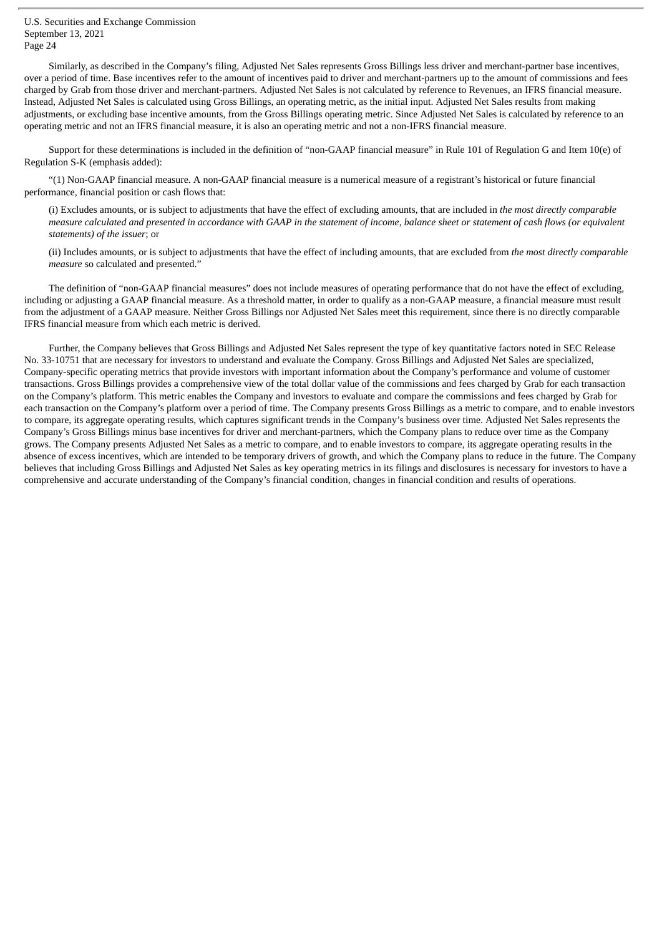Similarly, as described in the Company's filing, Adjusted Net Sales represents Gross Billings less driver and merchant-partner base incentives, over a period of time. Base incentives refer to the amount of incentives paid to driver and merchant-partners up to the amount of commissions and fees charged by Grab from those driver and merchant-partners. Adjusted Net Sales is not calculated by reference to Revenues, an IFRS financial measure. Instead, Adjusted Net Sales is calculated using Gross Billings, an operating metric, as the initial input. Adjusted Net Sales results from making adjustments, or excluding base incentive amounts, from the Gross Billings operating metric. Since Adjusted Net Sales is calculated by reference to an operating metric and not an IFRS financial measure, it is also an operating metric and not a non-IFRS financial measure.

Support for these determinations is included in the definition of "non-GAAP financial measure" in Rule 101 of Regulation G and Item 10(e) of Regulation S-K (emphasis added):

"(1) Non-GAAP financial measure. A non-GAAP financial measure is a numerical measure of a registrant's historical or future financial performance, financial position or cash flows that:

(i) Excludes amounts, or is subject to adjustments that have the effect of excluding amounts, that are included in *the most directly comparable* measure calculated and presented in accordance with GAAP in the statement of income, balance sheet or statement of cash flows (or equivalent *statements) of the issuer*; or

(ii) Includes amounts, or is subject to adjustments that have the effect of including amounts, that are excluded from *the most directly comparable measure* so calculated and presented."

The definition of "non-GAAP financial measures" does not include measures of operating performance that do not have the effect of excluding, including or adjusting a GAAP financial measure. As a threshold matter, in order to qualify as a non-GAAP measure, a financial measure must result from the adjustment of a GAAP measure. Neither Gross Billings nor Adjusted Net Sales meet this requirement, since there is no directly comparable IFRS financial measure from which each metric is derived.

Further, the Company believes that Gross Billings and Adjusted Net Sales represent the type of key quantitative factors noted in SEC Release No. 33-10751 that are necessary for investors to understand and evaluate the Company. Gross Billings and Adjusted Net Sales are specialized, Company-specific operating metrics that provide investors with important information about the Company's performance and volume of customer transactions. Gross Billings provides a comprehensive view of the total dollar value of the commissions and fees charged by Grab for each transaction on the Company's platform. This metric enables the Company and investors to evaluate and compare the commissions and fees charged by Grab for each transaction on the Company's platform over a period of time. The Company presents Gross Billings as a metric to compare, and to enable investors to compare, its aggregate operating results, which captures significant trends in the Company's business over time. Adjusted Net Sales represents the Company's Gross Billings minus base incentives for driver and merchant-partners, which the Company plans to reduce over time as the Company grows. The Company presents Adjusted Net Sales as a metric to compare, and to enable investors to compare, its aggregate operating results in the absence of excess incentives, which are intended to be temporary drivers of growth, and which the Company plans to reduce in the future. The Company believes that including Gross Billings and Adjusted Net Sales as key operating metrics in its filings and disclosures is necessary for investors to have a comprehensive and accurate understanding of the Company's financial condition, changes in financial condition and results of operations.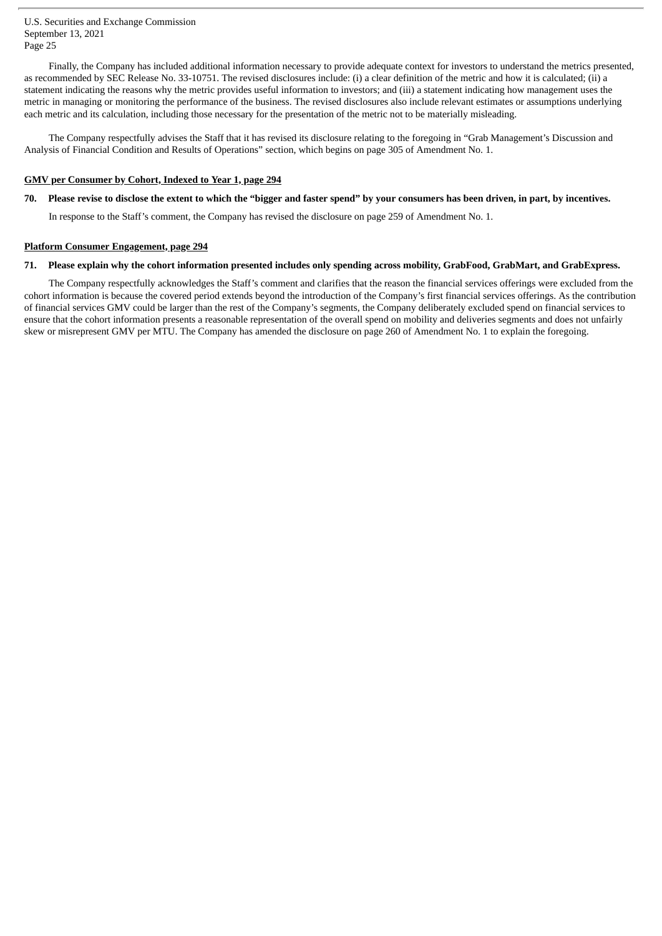Finally, the Company has included additional information necessary to provide adequate context for investors to understand the metrics presented, as recommended by SEC Release No. 33-10751. The revised disclosures include: (i) a clear definition of the metric and how it is calculated; (ii) a statement indicating the reasons why the metric provides useful information to investors; and (iii) a statement indicating how management uses the metric in managing or monitoring the performance of the business. The revised disclosures also include relevant estimates or assumptions underlying each metric and its calculation, including those necessary for the presentation of the metric not to be materially misleading.

The Company respectfully advises the Staff that it has revised its disclosure relating to the foregoing in "Grab Management's Discussion and Analysis of Financial Condition and Results of Operations" section, which begins on page 305 of Amendment No. 1.

# **GMV per Consumer by Cohort, Indexed to Year 1, page 294**

# 70. Please revise to disclose the extent to which the "bigger and faster spend" by your consumers has been driven, in part, by incentives.

In response to the Staff's comment, the Company has revised the disclosure on page 259 of Amendment No. 1.

# **Platform Consumer Engagement, page 294**

# 71. Please explain why the cohort information presented includes only spending across mobility, GrabFood, GrabMart, and GrabExpress.

The Company respectfully acknowledges the Staff's comment and clarifies that the reason the financial services offerings were excluded from the cohort information is because the covered period extends beyond the introduction of the Company's first financial services offerings. As the contribution of financial services GMV could be larger than the rest of the Company's segments, the Company deliberately excluded spend on financial services to ensure that the cohort information presents a reasonable representation of the overall spend on mobility and deliveries segments and does not unfairly skew or misrepresent GMV per MTU. The Company has amended the disclosure on page 260 of Amendment No. 1 to explain the foregoing.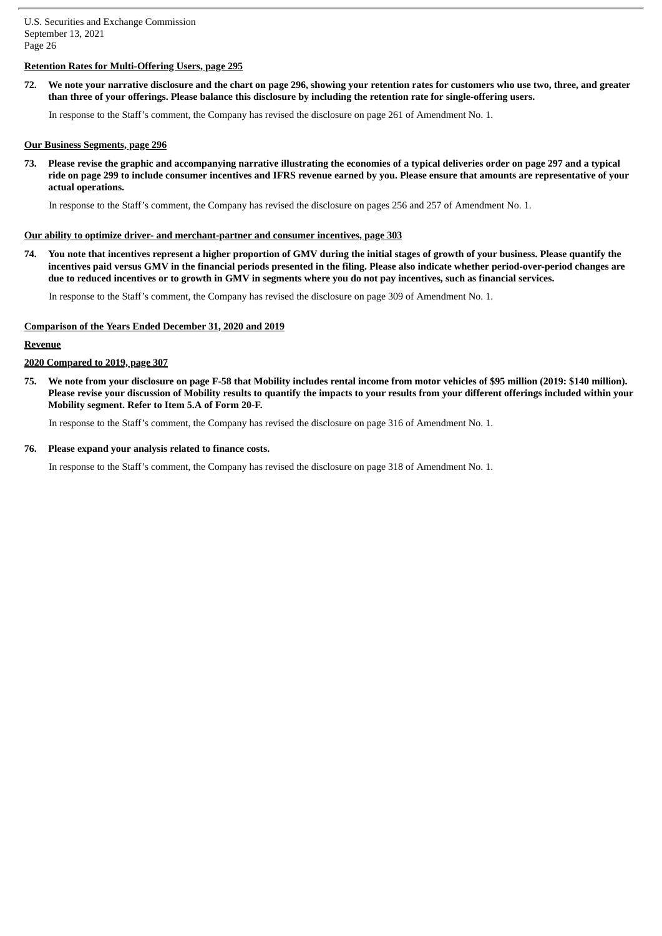# **Retention Rates for Multi-Offering Users, page 295**

72. We note your narrative disclosure and the chart on page 296, showing your retention rates for customers who use two, three, and greater than three of your offerings. Please balance this disclosure by including the retention rate for single-offering users.

In response to the Staff's comment, the Company has revised the disclosure on page 261 of Amendment No. 1.

## **Our Business Segments, page 296**

73. Please revise the graphic and accompanying narrative illustrating the economies of a typical deliveries order on page 297 and a typical ride on page 299 to include consumer incentives and IFRS revenue earned by you. Please ensure that amounts are representative of your **actual operations.**

In response to the Staff's comment, the Company has revised the disclosure on pages 256 and 257 of Amendment No. 1.

## **Our ability to optimize driver- and merchant-partner and consumer incentives, page 303**

74. You note that incentives represent a higher proportion of GMV during the initial stages of growth of your business. Please quantify the incentives paid versus GMV in the financial periods presented in the filing. Please also indicate whether period-over-period changes are due to reduced incentives or to growth in GMV in segments where you do not pay incentives, such as financial services.

In response to the Staff's comment, the Company has revised the disclosure on page 309 of Amendment No. 1.

#### **Comparison of the Years Ended December 31, 2020 and 2019**

## **Revenue**

#### **2020 Compared to 2019, page 307**

75. We note from your disclosure on page F-58 that Mobility includes rental income from motor vehicles of \$95 million (2019: \$140 million). Please revise your discussion of Mobility results to quantify the impacts to your results from your different offerings included within your **Mobility segment. Refer to Item 5.A of Form 20-F.**

In response to the Staff's comment, the Company has revised the disclosure on page 316 of Amendment No. 1.

#### **76. Please expand your analysis related to finance costs.**

In response to the Staff's comment, the Company has revised the disclosure on page 318 of Amendment No. 1.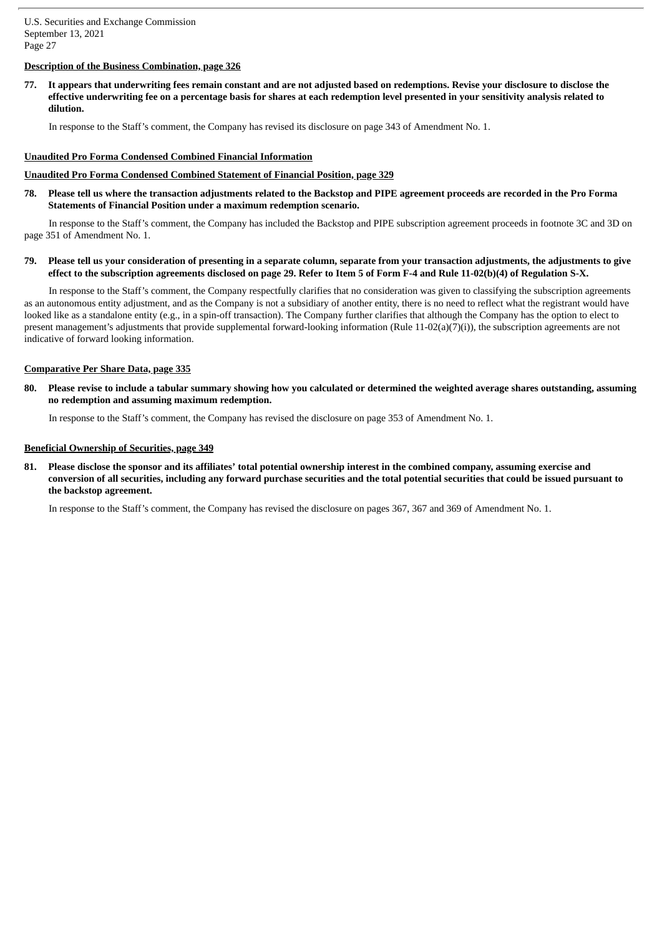# **Description of the Business Combination, page 326**

77. It appears that underwriting fees remain constant and are not adjusted based on redemptions. Revise your disclosure to disclose the effective underwriting fee on a percentage basis for shares at each redemption level presented in your sensitivity analysis related to **dilution.**

In response to the Staff's comment, the Company has revised its disclosure on page 343 of Amendment No. 1.

#### **Unaudited Pro Forma Condensed Combined Financial Information**

#### **Unaudited Pro Forma Condensed Combined Statement of Financial Position, page 329**

78. Please tell us where the transaction adjustments related to the Backstop and PIPE agreement proceeds are recorded in the Pro Forma **Statements of Financial Position under a maximum redemption scenario.**

In response to the Staff's comment, the Company has included the Backstop and PIPE subscription agreement proceeds in footnote 3C and 3D on page 351 of Amendment No. 1.

79. Please tell us your consideration of presenting in a separate column, separate from your transaction adjustments, the adjustments to give effect to the subscription agreements disclosed on page 29. Refer to Item 5 of Form F-4 and Rule 11-02(b)(4) of Regulation S-X.

In response to the Staff's comment, the Company respectfully clarifies that no consideration was given to classifying the subscription agreements as an autonomous entity adjustment, and as the Company is not a subsidiary of another entity, there is no need to reflect what the registrant would have looked like as a standalone entity (e.g., in a spin-off transaction). The Company further clarifies that although the Company has the option to elect to present management's adjustments that provide supplemental forward-looking information (Rule 11-02(a)(7)(i)), the subscription agreements are not indicative of forward looking information.

## **Comparative Per Share Data, page 335**

80. Please revise to include a tabular summary showing how you calculated or determined the weighted average shares outstanding, assuming **no redemption and assuming maximum redemption.**

In response to the Staff's comment, the Company has revised the disclosure on page 353 of Amendment No. 1.

#### **Beneficial Ownership of Securities, page 349**

81. Please disclose the sponsor and its affiliates' total potential ownership interest in the combined company, assuming exercise and conversion of all securities, including any forward purchase securities and the total potential securities that could be issued pursuant to **the backstop agreement.**

In response to the Staff's comment, the Company has revised the disclosure on pages 367, 367 and 369 of Amendment No. 1.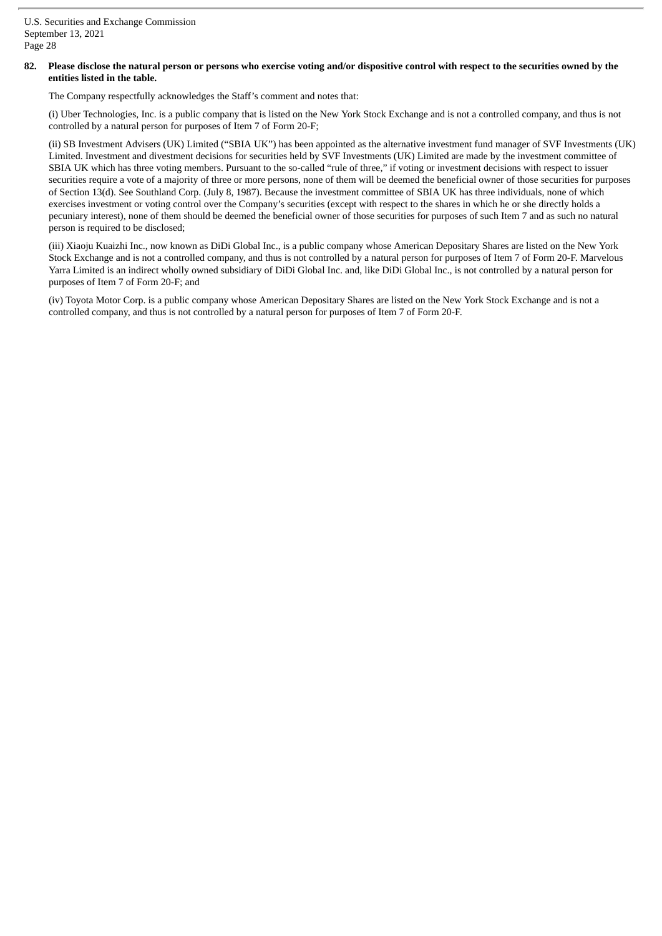## 82. Please disclose the natural person or persons who exercise voting and/or dispositive control with respect to the securities owned by the **entities listed in the table.**

The Company respectfully acknowledges the Staff's comment and notes that:

(i) Uber Technologies, Inc. is a public company that is listed on the New York Stock Exchange and is not a controlled company, and thus is not controlled by a natural person for purposes of Item 7 of Form 20-F;

(ii) SB Investment Advisers (UK) Limited ("SBIA UK") has been appointed as the alternative investment fund manager of SVF Investments (UK) Limited. Investment and divestment decisions for securities held by SVF Investments (UK) Limited are made by the investment committee of SBIA UK which has three voting members. Pursuant to the so-called "rule of three," if voting or investment decisions with respect to issuer securities require a vote of a majority of three or more persons, none of them will be deemed the beneficial owner of those securities for purposes of Section 13(d). See Southland Corp. (July 8, 1987). Because the investment committee of SBIA UK has three individuals, none of which exercises investment or voting control over the Company's securities (except with respect to the shares in which he or she directly holds a pecuniary interest), none of them should be deemed the beneficial owner of those securities for purposes of such Item 7 and as such no natural person is required to be disclosed;

(iii) Xiaoju Kuaizhi Inc., now known as DiDi Global Inc., is a public company whose American Depositary Shares are listed on the New York Stock Exchange and is not a controlled company, and thus is not controlled by a natural person for purposes of Item 7 of Form 20-F. Marvelous Yarra Limited is an indirect wholly owned subsidiary of DiDi Global Inc. and, like DiDi Global Inc., is not controlled by a natural person for purposes of Item 7 of Form 20-F; and

(iv) Toyota Motor Corp. is a public company whose American Depositary Shares are listed on the New York Stock Exchange and is not a controlled company, and thus is not controlled by a natural person for purposes of Item 7 of Form 20-F.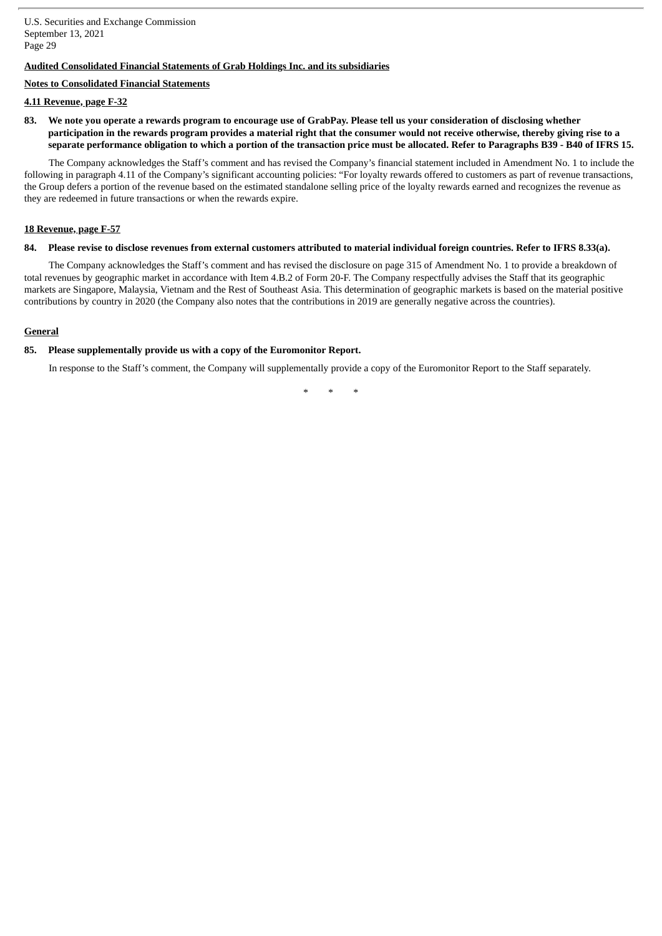# **Audited Consolidated Financial Statements of Grab Holdings Inc. and its subsidiaries**

#### **Notes to Consolidated Financial Statements**

#### **4.11 Revenue, page F-32**

83. We note you operate a rewards program to encourage use of GrabPay. Please tell us your consideration of disclosing whether participation in the rewards program provides a material right that the consumer would not receive otherwise, thereby giving rise to a separate performance obligation to which a portion of the transaction price must be allocated. Refer to Paragraphs B39 - B40 of IFRS 15.

The Company acknowledges the Staff's comment and has revised the Company's financial statement included in Amendment No. 1 to include the following in paragraph 4.11 of the Company's significant accounting policies: "For loyalty rewards offered to customers as part of revenue transactions, the Group defers a portion of the revenue based on the estimated standalone selling price of the loyalty rewards earned and recognizes the revenue as they are redeemed in future transactions or when the rewards expire.

#### **18 Revenue, page F-57**

#### 84. Please revise to disclose revenues from external customers attributed to material individual foreign countries. Refer to IFRS 8.33(a).

The Company acknowledges the Staff's comment and has revised the disclosure on page 315 of Amendment No. 1 to provide a breakdown of total revenues by geographic market in accordance with Item 4.B.2 of Form 20-F. The Company respectfully advises the Staff that its geographic markets are Singapore, Malaysia, Vietnam and the Rest of Southeast Asia. This determination of geographic markets is based on the material positive contributions by country in 2020 (the Company also notes that the contributions in 2019 are generally negative across the countries).

## **General**

#### **85. Please supplementally provide us with a copy of the Euromonitor Report.**

In response to the Staff's comment, the Company will supplementally provide a copy of the Euromonitor Report to the Staff separately.

*\* \* \**